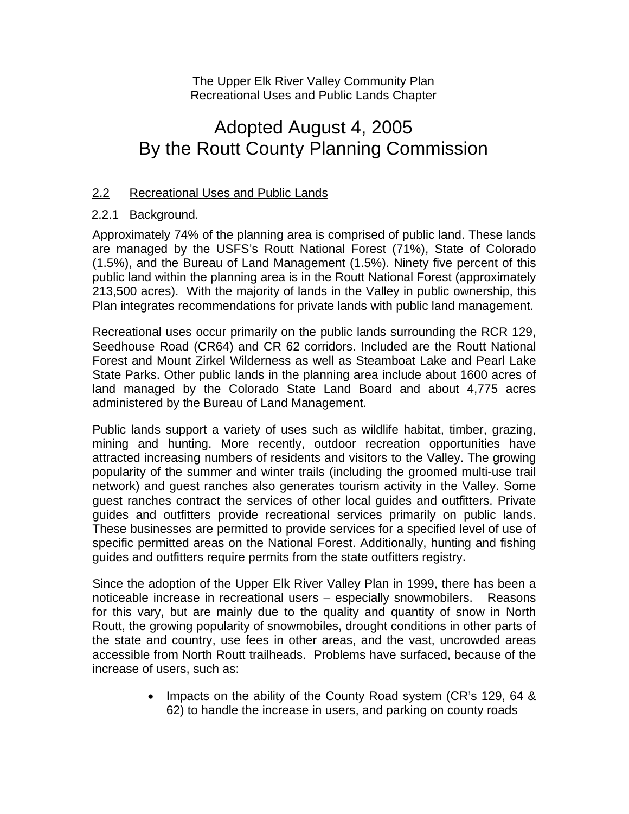The Upper Elk River Valley Community Plan Recreational Uses and Public Lands Chapter

## Adopted August 4, 2005 By the Routt County Planning Commission

#### 2.2 Recreational Uses and Public Lands

#### 2.2.1 Background.

Approximately 74% of the planning area is comprised of public land. These lands are managed by the USFS's Routt National Forest (71%), State of Colorado (1.5%), and the Bureau of Land Management (1.5%). Ninety five percent of this public land within the planning area is in the Routt National Forest (approximately 213,500 acres). With the majority of lands in the Valley in public ownership, this Plan integrates recommendations for private lands with public land management.

Recreational uses occur primarily on the public lands surrounding the RCR 129, Seedhouse Road (CR64) and CR 62 corridors. Included are the Routt National Forest and Mount Zirkel Wilderness as well as Steamboat Lake and Pearl Lake State Parks. Other public lands in the planning area include about 1600 acres of land managed by the Colorado State Land Board and about 4,775 acres administered by the Bureau of Land Management.

Public lands support a variety of uses such as wildlife habitat, timber, grazing, mining and hunting. More recently, outdoor recreation opportunities have attracted increasing numbers of residents and visitors to the Valley. The growing popularity of the summer and winter trails (including the groomed multi-use trail network) and guest ranches also generates tourism activity in the Valley. Some guest ranches contract the services of other local guides and outfitters. Private guides and outfitters provide recreational services primarily on public lands. These businesses are permitted to provide services for a specified level of use of specific permitted areas on the National Forest. Additionally, hunting and fishing guides and outfitters require permits from the state outfitters registry.

Since the adoption of the Upper Elk River Valley Plan in 1999, there has been a noticeable increase in recreational users – especially snowmobilers. Reasons for this vary, but are mainly due to the quality and quantity of snow in North Routt, the growing popularity of snowmobiles, drought conditions in other parts of the state and country, use fees in other areas, and the vast, uncrowded areas accessible from North Routt trailheads. Problems have surfaced, because of the increase of users, such as:

> • Impacts on the ability of the County Road system (CR's 129, 64 & 62) to handle the increase in users, and parking on county roads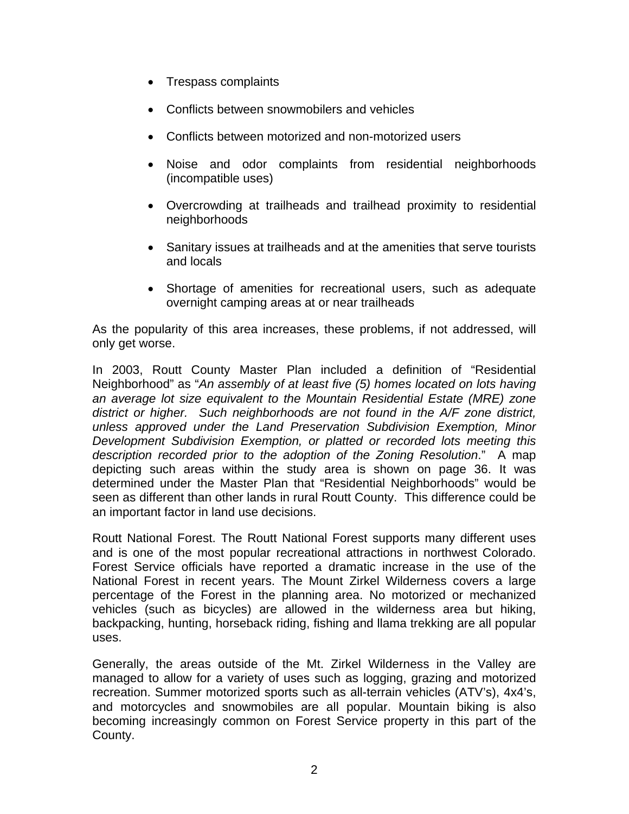- Trespass complaints
- Conflicts between snowmobilers and vehicles
- Conflicts between motorized and non-motorized users
- Noise and odor complaints from residential neighborhoods (incompatible uses)
- Overcrowding at trailheads and trailhead proximity to residential neighborhoods
- Sanitary issues at trailheads and at the amenities that serve tourists and locals
- Shortage of amenities for recreational users, such as adequate overnight camping areas at or near trailheads

As the popularity of this area increases, these problems, if not addressed, will only get worse.

In 2003, Routt County Master Plan included a definition of "Residential Neighborhood" as "*An assembly of at least five (5) homes located on lots having an average lot size equivalent to the Mountain Residential Estate (MRE) zone district or higher. Such neighborhoods are not found in the A/F zone district, unless approved under the Land Preservation Subdivision Exemption, Minor Development Subdivision Exemption, or platted or recorded lots meeting this description recorded prior to the adoption of the Zoning Resolution*." A map depicting such areas within the study area is shown on page 36. It was determined under the Master Plan that "Residential Neighborhoods" would be seen as different than other lands in rural Routt County. This difference could be an important factor in land use decisions.

Routt National Forest. The Routt National Forest supports many different uses and is one of the most popular recreational attractions in northwest Colorado. Forest Service officials have reported a dramatic increase in the use of the National Forest in recent years. The Mount Zirkel Wilderness covers a large percentage of the Forest in the planning area. No motorized or mechanized vehicles (such as bicycles) are allowed in the wilderness area but hiking, backpacking, hunting, horseback riding, fishing and llama trekking are all popular uses.

Generally, the areas outside of the Mt. Zirkel Wilderness in the Valley are managed to allow for a variety of uses such as logging, grazing and motorized recreation. Summer motorized sports such as all-terrain vehicles (ATV's), 4x4's, and motorcycles and snowmobiles are all popular. Mountain biking is also becoming increasingly common on Forest Service property in this part of the County.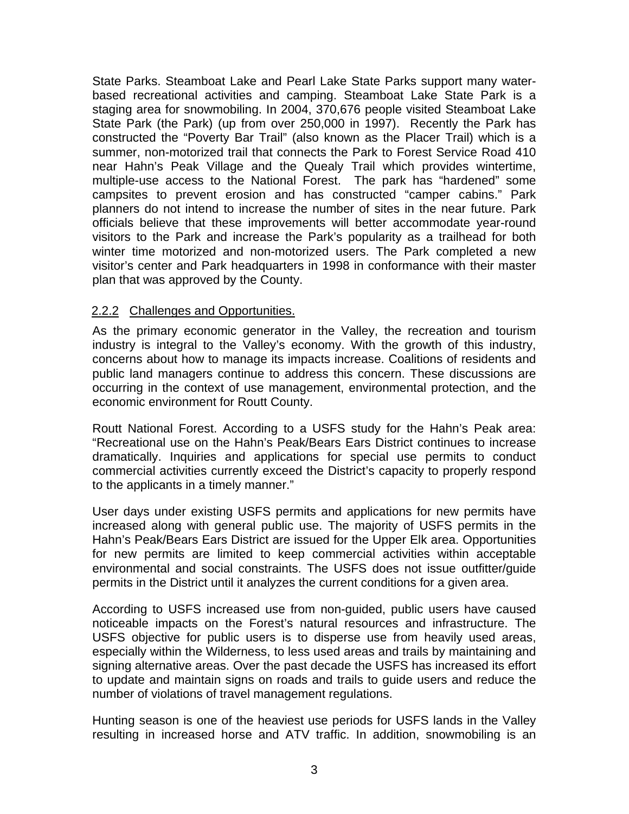State Parks. Steamboat Lake and Pearl Lake State Parks support many waterbased recreational activities and camping. Steamboat Lake State Park is a staging area for snowmobiling. In 2004, 370,676 people visited Steamboat Lake State Park (the Park) (up from over 250,000 in 1997). Recently the Park has constructed the "Poverty Bar Trail" (also known as the Placer Trail) which is a summer, non-motorized trail that connects the Park to Forest Service Road 410 near Hahn's Peak Village and the Quealy Trail which provides wintertime, multiple-use access to the National Forest. The park has "hardened" some campsites to prevent erosion and has constructed "camper cabins." Park planners do not intend to increase the number of sites in the near future. Park officials believe that these improvements will better accommodate year-round visitors to the Park and increase the Park's popularity as a trailhead for both winter time motorized and non-motorized users. The Park completed a new visitor's center and Park headquarters in 1998 in conformance with their master plan that was approved by the County.

#### 2.2.2 Challenges and Opportunities.

As the primary economic generator in the Valley, the recreation and tourism industry is integral to the Valley's economy. With the growth of this industry, concerns about how to manage its impacts increase. Coalitions of residents and public land managers continue to address this concern. These discussions are occurring in the context of use management, environmental protection, and the economic environment for Routt County.

Routt National Forest. According to a USFS study for the Hahn's Peak area: "Recreational use on the Hahn's Peak/Bears Ears District continues to increase dramatically. Inquiries and applications for special use permits to conduct commercial activities currently exceed the District's capacity to properly respond to the applicants in a timely manner."

User days under existing USFS permits and applications for new permits have increased along with general public use. The majority of USFS permits in the Hahn's Peak/Bears Ears District are issued for the Upper Elk area. Opportunities for new permits are limited to keep commercial activities within acceptable environmental and social constraints. The USFS does not issue outfitter/guide permits in the District until it analyzes the current conditions for a given area.

According to USFS increased use from non-guided, public users have caused noticeable impacts on the Forest's natural resources and infrastructure. The USFS objective for public users is to disperse use from heavily used areas, especially within the Wilderness, to less used areas and trails by maintaining and signing alternative areas. Over the past decade the USFS has increased its effort to update and maintain signs on roads and trails to guide users and reduce the number of violations of travel management regulations.

Hunting season is one of the heaviest use periods for USFS lands in the Valley resulting in increased horse and ATV traffic. In addition, snowmobiling is an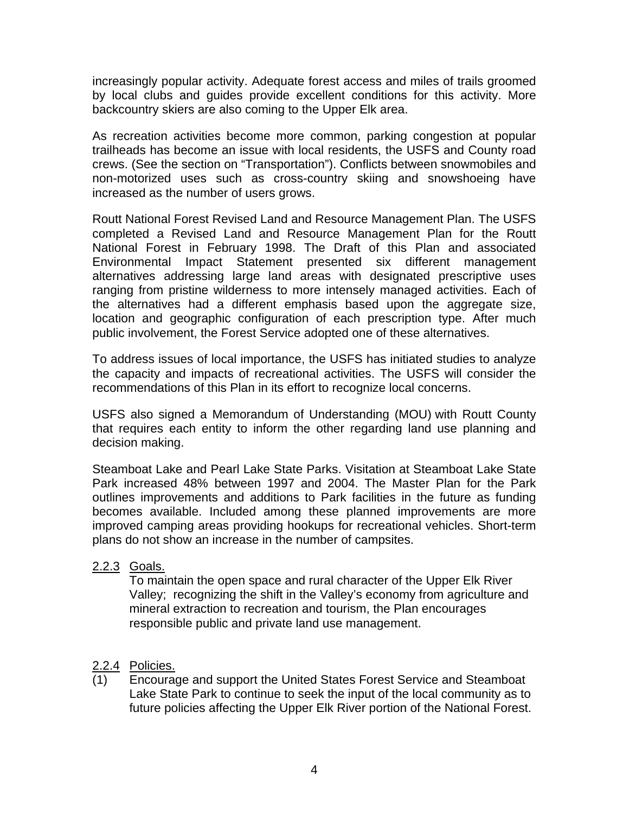increasingly popular activity. Adequate forest access and miles of trails groomed by local clubs and guides provide excellent conditions for this activity. More backcountry skiers are also coming to the Upper Elk area.

As recreation activities become more common, parking congestion at popular trailheads has become an issue with local residents, the USFS and County road crews. (See the section on "Transportation"). Conflicts between snowmobiles and non-motorized uses such as cross-country skiing and snowshoeing have increased as the number of users grows.

Routt National Forest Revised Land and Resource Management Plan. The USFS completed a Revised Land and Resource Management Plan for the Routt National Forest in February 1998. The Draft of this Plan and associated Environmental Impact Statement presented six different management alternatives addressing large land areas with designated prescriptive uses ranging from pristine wilderness to more intensely managed activities. Each of the alternatives had a different emphasis based upon the aggregate size, location and geographic configuration of each prescription type. After much public involvement, the Forest Service adopted one of these alternatives.

To address issues of local importance, the USFS has initiated studies to analyze the capacity and impacts of recreational activities. The USFS will consider the recommendations of this Plan in its effort to recognize local concerns.

USFS also signed a Memorandum of Understanding (MOU) with Routt County that requires each entity to inform the other regarding land use planning and decision making.

Steamboat Lake and Pearl Lake State Parks. Visitation at Steamboat Lake State Park increased 48% between 1997 and 2004. The Master Plan for the Park outlines improvements and additions to Park facilities in the future as funding becomes available. Included among these planned improvements are more improved camping areas providing hookups for recreational vehicles. Short-term plans do not show an increase in the number of campsites.

#### 2.2.3 Goals.

To maintain the open space and rural character of the Upper Elk River Valley; recognizing the shift in the Valley's economy from agriculture and mineral extraction to recreation and tourism, the Plan encourages responsible public and private land use management.

#### 2.2.4 Policies.

(1) Encourage and support the United States Forest Service and Steamboat Lake State Park to continue to seek the input of the local community as to future policies affecting the Upper Elk River portion of the National Forest.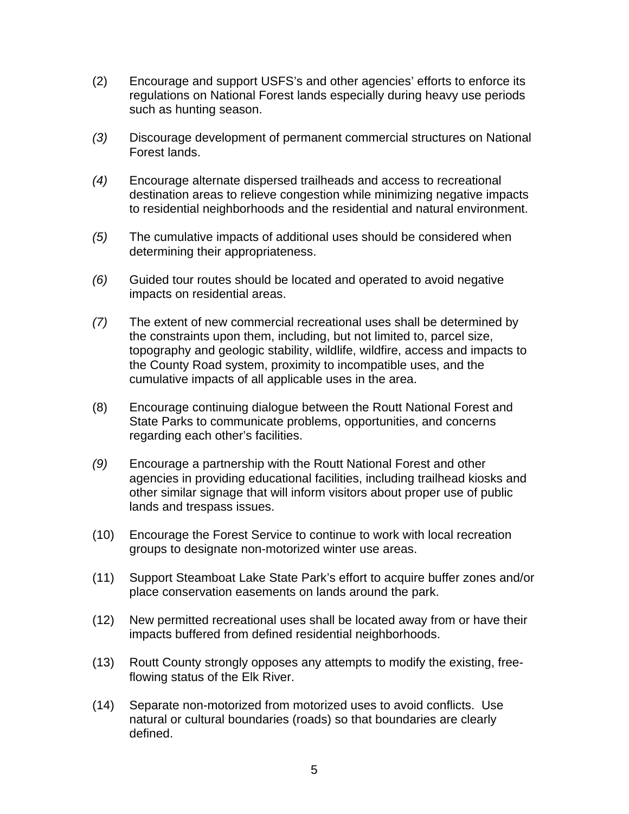- (2) Encourage and support USFS's and other agencies' efforts to enforce its regulations on National Forest lands especially during heavy use periods such as hunting season.
- *(3)* Discourage development of permanent commercial structures on National Forest lands.
- *(4)* Encourage alternate dispersed trailheads and access to recreational destination areas to relieve congestion while minimizing negative impacts to residential neighborhoods and the residential and natural environment.
- *(5)* The cumulative impacts of additional uses should be considered when determining their appropriateness.
- *(6)* Guided tour routes should be located and operated to avoid negative impacts on residential areas.
- *(7)* The extent of new commercial recreational uses shall be determined by the constraints upon them, including, but not limited to, parcel size, topography and geologic stability, wildlife, wildfire, access and impacts to the County Road system, proximity to incompatible uses, and the cumulative impacts of all applicable uses in the area.
- (8) Encourage continuing dialogue between the Routt National Forest and State Parks to communicate problems, opportunities, and concerns regarding each other's facilities.
- *(9)* Encourage a partnership with the Routt National Forest and other agencies in providing educational facilities, including trailhead kiosks and other similar signage that will inform visitors about proper use of public lands and trespass issues.
- (10) Encourage the Forest Service to continue to work with local recreation groups to designate non-motorized winter use areas.
- (11) Support Steamboat Lake State Park's effort to acquire buffer zones and/or place conservation easements on lands around the park.
- (12) New permitted recreational uses shall be located away from or have their impacts buffered from defined residential neighborhoods.
- (13) Routt County strongly opposes any attempts to modify the existing, freeflowing status of the Elk River.
- (14) Separate non-motorized from motorized uses to avoid conflicts. Use natural or cultural boundaries (roads) so that boundaries are clearly defined.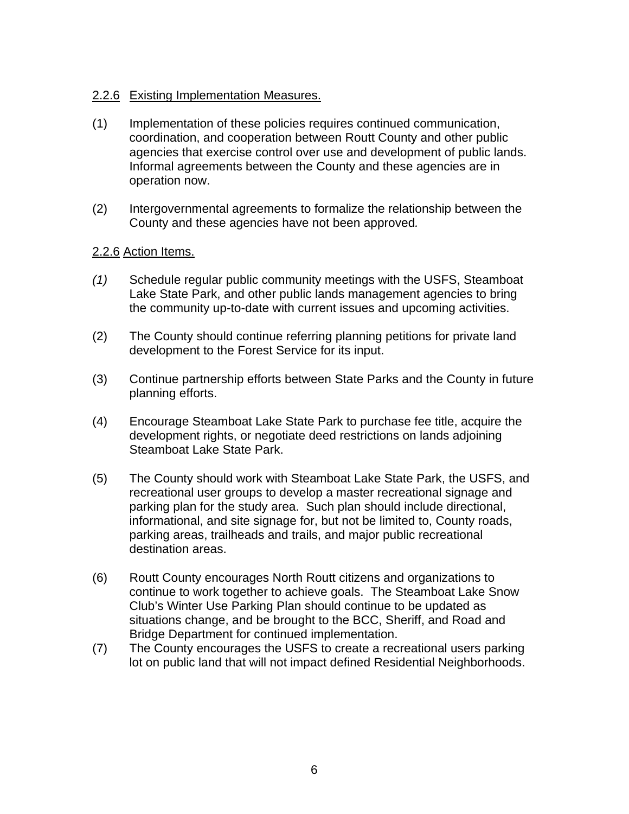#### 2.2.6 Existing Implementation Measures.

- (1) Implementation of these policies requires continued communication, coordination, and cooperation between Routt County and other public agencies that exercise control over use and development of public lands. Informal agreements between the County and these agencies are in operation now.
- (2) Intergovernmental agreements to formalize the relationship between the County and these agencies have not been approved*.*

#### 2.2.6 Action Items.

- *(1)* Schedule regular public community meetings with the USFS, Steamboat Lake State Park, and other public lands management agencies to bring the community up-to-date with current issues and upcoming activities.
- (2) The County should continue referring planning petitions for private land development to the Forest Service for its input.
- (3) Continue partnership efforts between State Parks and the County in future planning efforts.
- (4) Encourage Steamboat Lake State Park to purchase fee title, acquire the development rights, or negotiate deed restrictions on lands adjoining Steamboat Lake State Park.
- (5) The County should work with Steamboat Lake State Park, the USFS, and recreational user groups to develop a master recreational signage and parking plan for the study area. Such plan should include directional, informational, and site signage for, but not be limited to, County roads, parking areas, trailheads and trails, and major public recreational destination areas.
- (6) Routt County encourages North Routt citizens and organizations to continue to work together to achieve goals. The Steamboat Lake Snow Club's Winter Use Parking Plan should continue to be updated as situations change, and be brought to the BCC, Sheriff, and Road and Bridge Department for continued implementation.
- (7) The County encourages the USFS to create a recreational users parking lot on public land that will not impact defined Residential Neighborhoods.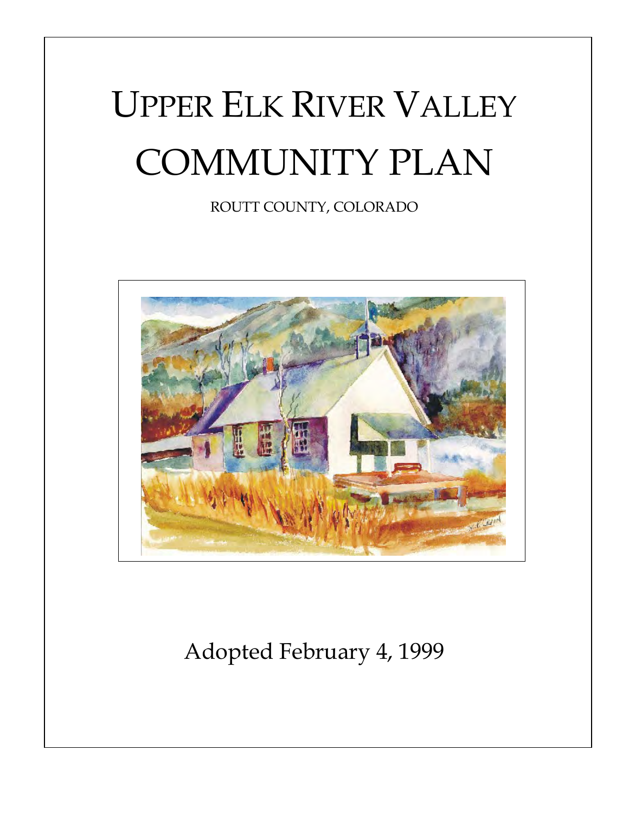# UPPER ELK RIVER VALLEY COMMUNITY PLAN

ROUTT COUNTY, COLORADO



Adopted February 4, 1999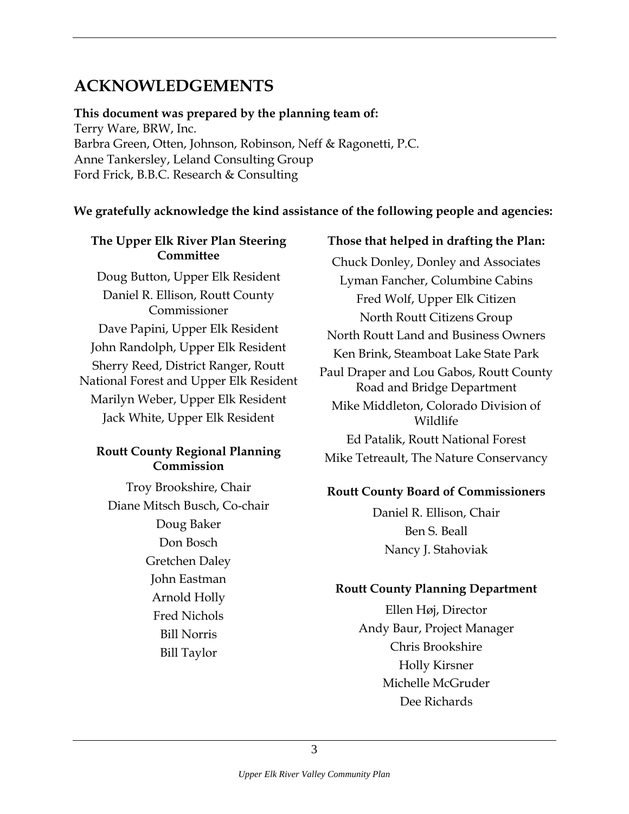#### <span id="page-8-0"></span>**ACKNOWLEDGEMENTS**

**This document was prepared by the planning team of:**  Terry Ware, BRW, Inc. Barbra Green, Otten, Johnson, Robinson, Neff & Ragonetti, P.C. Anne Tankersley, Leland Consulting Group Ford Frick, B.B.C. Research & Consulting

#### **We gratefully acknowledge the kind assistance of the following people and agencies:**

#### **The Upper Elk River Plan Steering Committee**

Doug Button, Upper Elk Resident Daniel R. Ellison, Routt County Commissioner Dave Papini, Upper Elk Resident John Randolph, Upper Elk Resident Sherry Reed, District Ranger, Routt National Forest and Upper Elk Resident Marilyn Weber, Upper Elk Resident Jack White, Upper Elk Resident

#### **Routt County Regional Planning Commission**

Troy Brookshire, Chair Diane Mitsch Busch, Co-chair Doug Baker Don Bosch Gretchen Daley John Eastman Arnold Holly Fred Nichols Bill Norris Bill Taylor

#### **Those that helped in drafting the Plan:**

Chuck Donley, Donley and Associates Lyman Fancher, Columbine Cabins Fred Wolf, Upper Elk Citizen North Routt Citizens Group North Routt Land and Business Owners Ken Brink, Steamboat Lake State Park Paul Draper and Lou Gabos, Routt County Road and Bridge Department Mike Middleton, Colorado Division of Wildlife

Ed Patalik, Routt National Forest Mike Tetreault, The Nature Conservancy

#### **Routt County Board of Commissioners**

Daniel R. Ellison, Chair Ben S. Beall Nancy J. Stahoviak

#### **Routt County Planning Department**

Ellen Høj, Director Andy Baur, Project Manager Chris Brookshire Holly Kirsner Michelle McGruder Dee Richards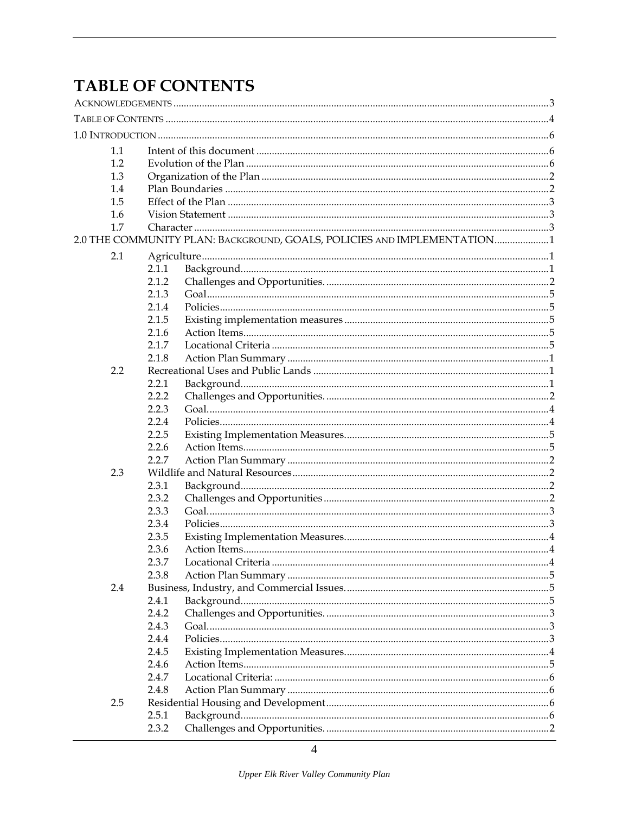## <span id="page-9-0"></span>**TABLE OF CONTENTS**

| 1.1 |       |                                                                         |  |  |  |  |  |  |
|-----|-------|-------------------------------------------------------------------------|--|--|--|--|--|--|
| 1.2 |       |                                                                         |  |  |  |  |  |  |
| 1.3 |       |                                                                         |  |  |  |  |  |  |
| 1.4 |       |                                                                         |  |  |  |  |  |  |
| 1.5 |       |                                                                         |  |  |  |  |  |  |
| 1.6 |       |                                                                         |  |  |  |  |  |  |
| 1.7 |       |                                                                         |  |  |  |  |  |  |
|     |       | 2.0 THE COMMUNITY PLAN: BACKGROUND, GOALS, POLICIES AND IMPLEMENTATION1 |  |  |  |  |  |  |
| 2.1 |       |                                                                         |  |  |  |  |  |  |
|     | 2.1.1 |                                                                         |  |  |  |  |  |  |
|     | 2.1.2 |                                                                         |  |  |  |  |  |  |
|     | 2.1.3 |                                                                         |  |  |  |  |  |  |
|     | 2.1.4 |                                                                         |  |  |  |  |  |  |
|     | 2.1.5 |                                                                         |  |  |  |  |  |  |
|     | 2.1.6 |                                                                         |  |  |  |  |  |  |
|     | 2.1.7 |                                                                         |  |  |  |  |  |  |
|     | 2.1.8 |                                                                         |  |  |  |  |  |  |
| 2.2 |       |                                                                         |  |  |  |  |  |  |
|     | 2.2.1 |                                                                         |  |  |  |  |  |  |
|     | 2.2.2 |                                                                         |  |  |  |  |  |  |
|     | 2.2.3 |                                                                         |  |  |  |  |  |  |
|     | 2.2.4 |                                                                         |  |  |  |  |  |  |
|     | 2.2.5 |                                                                         |  |  |  |  |  |  |
|     | 2.2.6 |                                                                         |  |  |  |  |  |  |
|     | 2.2.7 |                                                                         |  |  |  |  |  |  |
| 2.3 |       |                                                                         |  |  |  |  |  |  |
|     | 2.3.1 |                                                                         |  |  |  |  |  |  |
|     | 2.3.2 |                                                                         |  |  |  |  |  |  |
|     | 2.3.3 |                                                                         |  |  |  |  |  |  |
|     | 2.3.4 |                                                                         |  |  |  |  |  |  |
|     | 2.3.5 |                                                                         |  |  |  |  |  |  |
|     | 2.3.6 |                                                                         |  |  |  |  |  |  |
|     | 2.3.7 |                                                                         |  |  |  |  |  |  |
|     | 2.3.8 |                                                                         |  |  |  |  |  |  |
| 2.4 |       |                                                                         |  |  |  |  |  |  |
|     | 2.4.1 |                                                                         |  |  |  |  |  |  |
|     | 2.4.2 |                                                                         |  |  |  |  |  |  |
|     | 2.4.3 |                                                                         |  |  |  |  |  |  |
|     | 2.4.4 |                                                                         |  |  |  |  |  |  |
|     | 2.4.5 |                                                                         |  |  |  |  |  |  |
|     | 2.4.6 |                                                                         |  |  |  |  |  |  |
|     | 2.4.7 |                                                                         |  |  |  |  |  |  |
|     | 2.4.8 |                                                                         |  |  |  |  |  |  |
| 2.5 |       |                                                                         |  |  |  |  |  |  |
|     |       |                                                                         |  |  |  |  |  |  |
|     | 2.5.1 |                                                                         |  |  |  |  |  |  |
|     | 2.3.2 |                                                                         |  |  |  |  |  |  |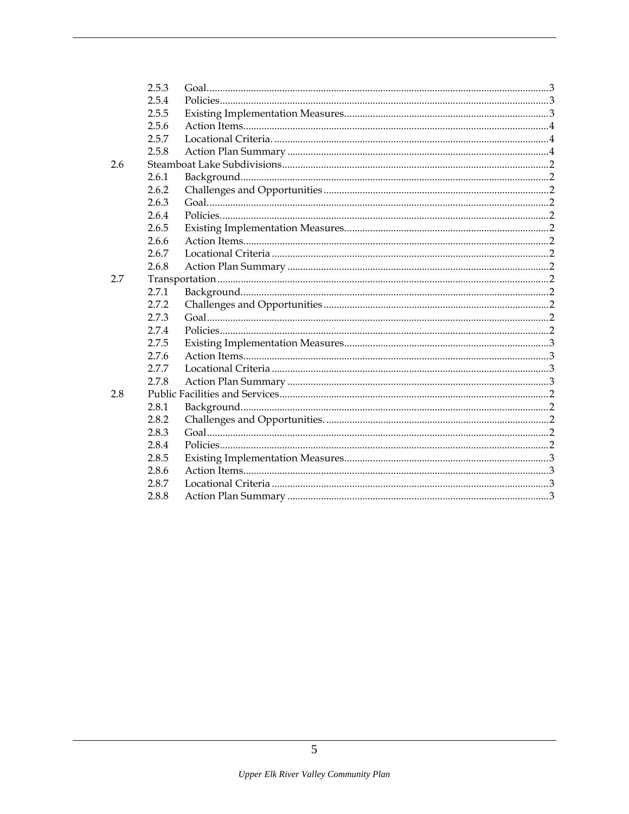|     | 2.5.3 |  |
|-----|-------|--|
|     | 2.5.4 |  |
|     | 2.5.5 |  |
|     | 2.5.6 |  |
|     | 2.5.7 |  |
|     | 2.5.8 |  |
| 2.6 |       |  |
|     | 2.6.1 |  |
|     | 2.6.2 |  |
|     | 2.6.3 |  |
|     | 2.6.4 |  |
|     | 2.6.5 |  |
|     | 2.6.6 |  |
|     | 2.6.7 |  |
|     | 2.6.8 |  |
| 2.7 |       |  |
|     | 2.7.1 |  |
|     | 2.7.2 |  |
|     | 2.7.3 |  |
|     | 2.7.4 |  |
|     | 2.7.5 |  |
|     | 2.7.6 |  |
|     | 2.7.7 |  |
|     | 2.7.8 |  |
| 2.8 |       |  |
|     | 2.8.1 |  |
|     | 2.8.2 |  |
|     | 2.8.3 |  |
|     | 2.8.4 |  |
|     | 2.8.5 |  |
|     | 2.8.6 |  |
|     | 2.8.7 |  |
|     | 2.8.8 |  |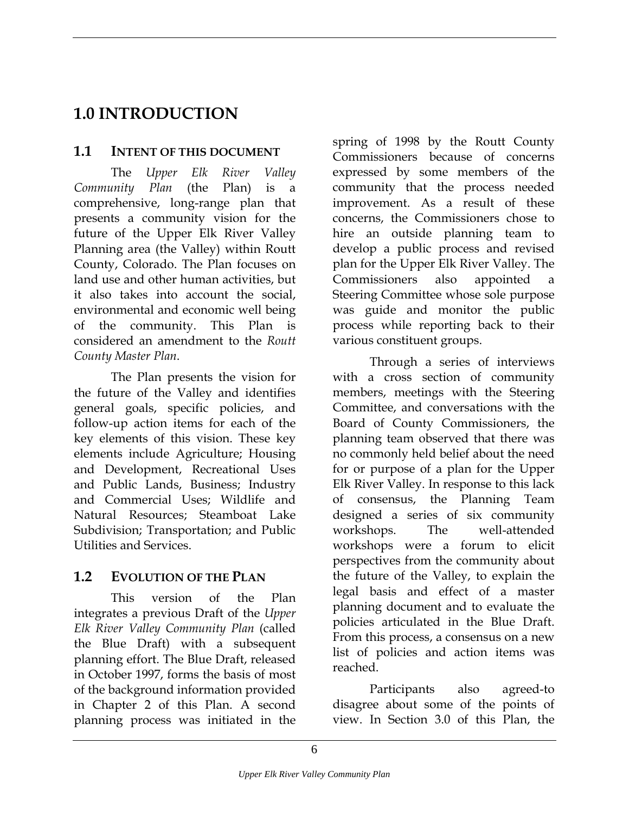### <span id="page-11-0"></span>**1.0 INTRODUCTION**

#### **1.1 INTENT OF THIS DOCUMENT**

The *Upper Elk River Valley Community Plan* (the Plan) is a comprehensive, long-range plan that presents a community vision for the future of the Upper Elk River Valley Planning area (the Valley) within Routt County, Colorado. The Plan focuses on land use and other human activities, but it also takes into account the social, environmental and economic well being of the community. This Plan is considered an amendment to the *Routt County Master Plan*.

The Plan presents the vision for the future of the Valley and identifies general goals, specific policies, and follow-up action items for each of the key elements of this vision. These key elements include Agriculture; Housing and Development, Recreational Uses and Public Lands, Business; Industry and Commercial Uses; Wildlife and Natural Resources; Steamboat Lake Subdivision; Transportation; and Public Utilities and Services.

#### **1.2 EVOLUTION OF THE PLAN**

This version of the Plan integrates a previous Draft of the *Upper Elk River Valley Community Plan* (called the Blue Draft) with a subsequent planning effort. The Blue Draft, released in October 1997, forms the basis of most of the background information provided in Chapter 2 of this Plan. A second planning process was initiated in the

spring of 1998 by the Routt County Commissioners because of concerns expressed by some members of the community that the process needed improvement. As a result of these concerns, the Commissioners chose to hire an outside planning team to develop a public process and revised plan for the Upper Elk River Valley. The Commissioners also appointed a Steering Committee whose sole purpose was guide and monitor the public process while reporting back to their various constituent groups.

Through a series of interviews with a cross section of community members, meetings with the Steering Committee, and conversations with the Board of County Commissioners, the planning team observed that there was no commonly held belief about the need for or purpose of a plan for the Upper Elk River Valley. In response to this lack of consensus, the Planning Team designed a series of six community workshops. The well-attended workshops were a forum to elicit perspectives from the community about the future of the Valley, to explain the legal basis and effect of a master planning document and to evaluate the policies articulated in the Blue Draft. From this process, a consensus on a new list of policies and action items was reached.

Participants also agreed-to disagree about some of the points of view. In Section 3.0 of this Plan, the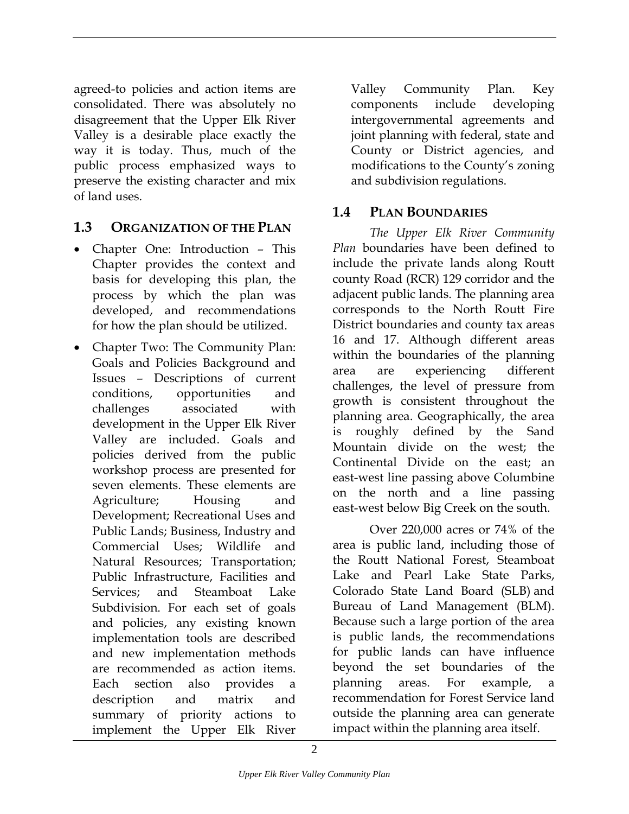<span id="page-12-0"></span>agreed-to policies and action items are consolidated. There was absolutely no disagreement that the Upper Elk River Valley is a desirable place exactly the way it is today. Thus, much of the public process emphasized ways to preserve the existing character and mix of land uses.

#### **1.3 ORGANIZATION OF THE PLAN**

- Chapter One: Introduction This Chapter provides the context and basis for developing this plan, the process by which the plan was developed, and recommendations for how the plan should be utilized.
- Chapter Two: The Community Plan: Goals and Policies Background and Issues – Descriptions of current conditions, opportunities and challenges associated with development in the Upper Elk River Valley are included. Goals and policies derived from the public workshop process are presented for seven elements. These elements are Agriculture; Housing and Development; Recreational Uses and Public Lands; Business, Industry and Commercial Uses; Wildlife and Natural Resources; Transportation; Public Infrastructure, Facilities and Services; and Steamboat Lake Subdivision. For each set of goals and policies, any existing known implementation tools are described and new implementation methods are recommended as action items. Each section also provides a description and matrix and summary of priority actions to implement the Upper Elk River

Valley Community Plan. Key components include developing intergovernmental agreements and joint planning with federal, state and County or District agencies, and modifications to the County's zoning and subdivision regulations.

#### **1.4 PLAN BOUNDARIES**

*The Upper Elk River Community Plan* boundaries have been defined to include the private lands along Routt county Road (RCR) 129 corridor and the adjacent public lands. The planning area corresponds to the North Routt Fire District boundaries and county tax areas 16 and 17. Although different areas within the boundaries of the planning area are experiencing different challenges, the level of pressure from growth is consistent throughout the planning area. Geographically, the area is roughly defined by the Sand Mountain divide on the west; the Continental Divide on the east; an east-west line passing above Columbine on the north and a line passing east-west below Big Creek on the south.

Over 220,000 acres or 74% of the area is public land, including those of the Routt National Forest, Steamboat Lake and Pearl Lake State Parks, Colorado State Land Board (SLB) and Bureau of Land Management (BLM). Because such a large portion of the area is public lands, the recommendations for public lands can have influence beyond the set boundaries of the planning areas. For example, recommendation for Forest Service land outside the planning area can generate impact within the planning area itself.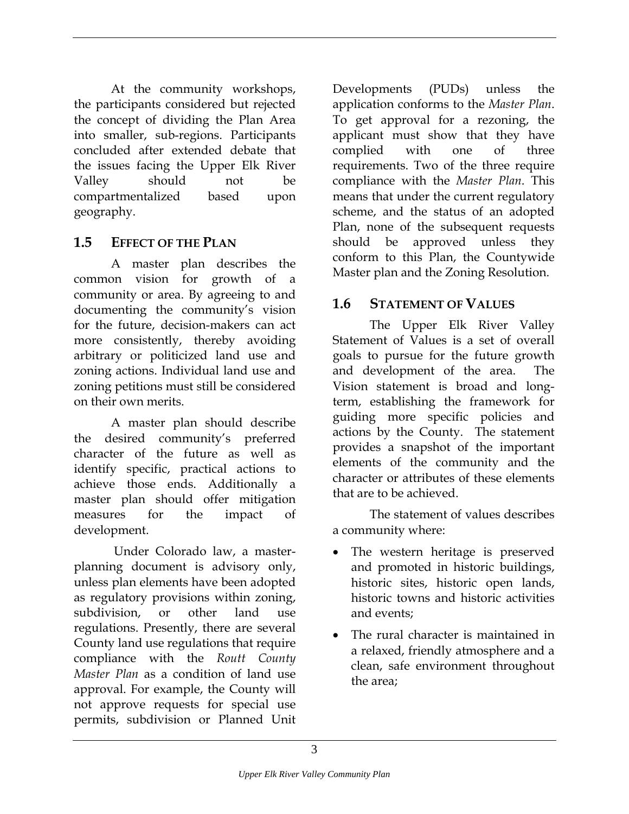<span id="page-13-0"></span>At the community workshops, the participants considered but rejected the concept of dividing the Plan Area into smaller, sub-regions. Participants concluded after extended debate that the issues facing the Upper Elk River Valley should not be compartmentalized based upon geography.

#### **1.5 EFFECT OF THE PLAN**

A master plan describes the common vision for growth of a community or area. By agreeing to and documenting the community's vision for the future, decision-makers can act more consistently, thereby avoiding arbitrary or politicized land use and zoning actions. Individual land use and zoning petitions must still be considered on their own merits.

A master plan should describe the desired community's preferred character of the future as well as identify specific, practical actions to achieve those ends. Additionally a master plan should offer mitigation measures for the impact of development.

 Under Colorado law, a masterplanning document is advisory only, unless plan elements have been adopted as regulatory provisions within zoning, subdivision, or other land use regulations. Presently, there are several County land use regulations that require compliance with the *Routt County Master Plan* as a condition of land use approval. For example, the County will not approve requests for special use permits, subdivision or Planned Unit

Developments (PUDs) unless the application conforms to the *Master Plan*. To get approval for a rezoning, the applicant must show that they have complied with one of three requirements. Two of the three require compliance with the *Master Plan*. This means that under the current regulatory scheme, and the status of an adopted Plan, none of the subsequent requests should be approved unless they conform to this Plan, the Countywide Master plan and the Zoning Resolution.

#### **1.6 STATEMENT OF VALUES**

The Upper Elk River Valley Statement of Values is a set of overall goals to pursue for the future growth and development of the area. The Vision statement is broad and longterm, establishing the framework for guiding more specific policies and actions by the County. The statement provides a snapshot of the important elements of the community and the character or attributes of these elements that are to be achieved.

The statement of values describes a community where:

- The western heritage is preserved and promoted in historic buildings, historic sites, historic open lands, historic towns and historic activities and events;
- The rural character is maintained in a relaxed, friendly atmosphere and a clean, safe environment throughout the area;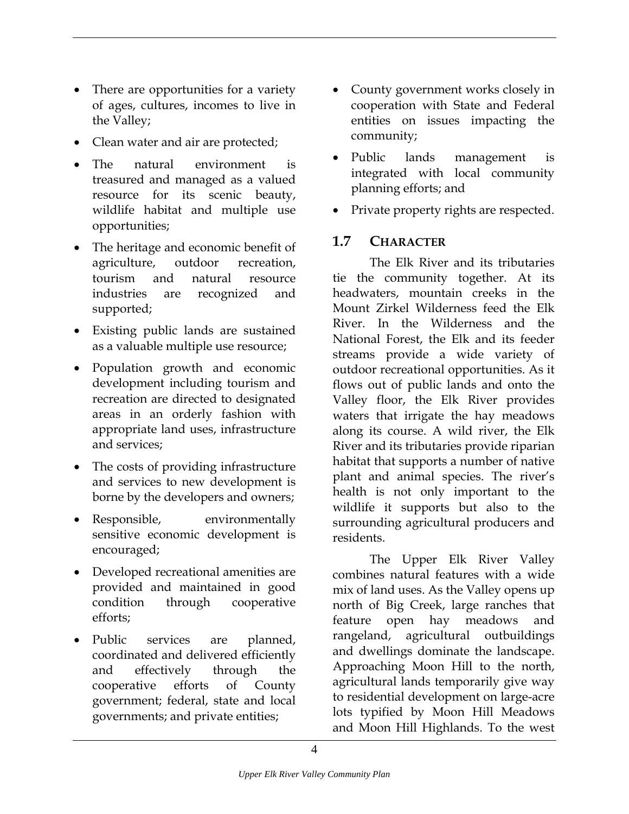- <span id="page-14-0"></span>• There are opportunities for a variety of ages, cultures, incomes to live in the Valley;
- Clean water and air are protected; community;
- The natural environment is treasured and managed as a valued resource for its scenic beauty, wildlife habitat and multiple use opportunities;
- The heritage and economic benefit of **1.7 CHARACTER** agriculture, outdoor recreation, tourism and natural resource industries are recognized and supported;
- Existing public lands are sustained as a valuable multiple use resource;
- Population growth and economic development including tourism and recreation are directed to designated areas in an orderly fashion with appropriate land uses, infrastructure and services;
- The costs of providing infrastructure and services to new development is borne by the developers and owners;
- Responsible, environmentally sensitive economic development is encouraged;
- Developed recreational amenities are provided and maintained in good condition through cooperative efforts;
- Public services are planned, coordinated and delivered efficiently and effectively through the cooperative efforts of County government; federal, state and local governments; and private entities;
- County government works closely in cooperation with State and Federal entities on issues impacting the
- Public lands management is integrated with local community planning efforts; and
- Private property rights are respected.

The Elk River and its tributaries tie the community together. At its headwaters, mountain creeks in the Mount Zirkel Wilderness feed the Elk River. In the Wilderness and the National Forest, the Elk and its feeder streams provide a wide variety of outdoor recreational opportunities. As it flows out of public lands and onto the Valley floor, the Elk River provides waters that irrigate the hay meadows along its course. A wild river, the Elk River and its tributaries provide riparian habitat that supports a number of native plant and animal species. The river's health is not only important to the wildlife it supports but also to the surrounding agricultural producers and residents.

The Upper Elk River Valley combines natural features with a wide mix of land uses. As the Valley opens up north of Big Creek, large ranches that feature open hay meadows and rangeland, agricultural outbuildings and dwellings dominate the landscape. Approaching Moon Hill to the north, agricultural lands temporarily give way to residential development on large-acre lots typified by Moon Hill Meadows and Moon Hill Highlands. To the west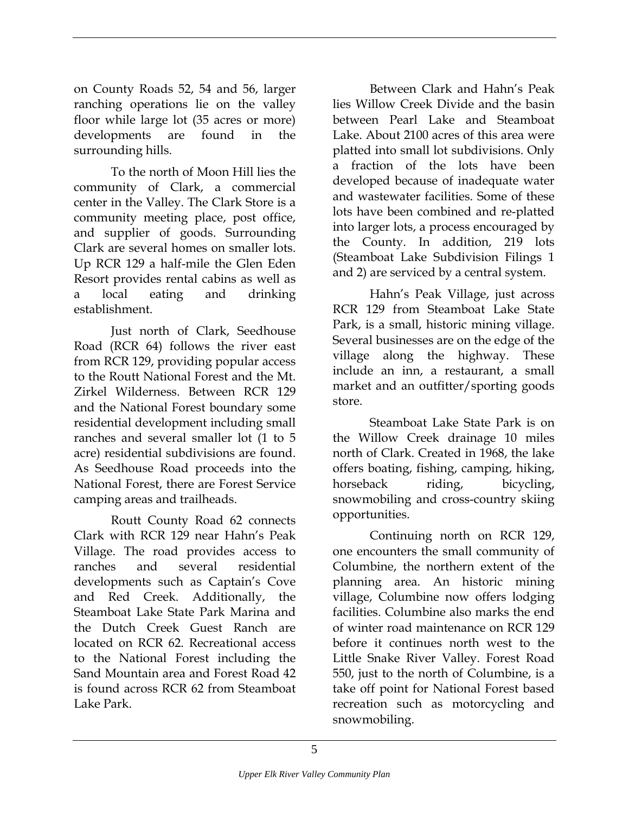on County Roads 52, 54 and 56, larger ranching operations lie on the valley floor while large lot (35 acres or more) developments are found in the surrounding hills.

To the north of Moon Hill lies the community of Clark, a commercial center in the Valley. The Clark Store is a community meeting place, post office, and supplier of goods. Surrounding Clark are several homes on smaller lots. Up RCR 129 a half-mile the Glen Eden Resort provides rental cabins as well as a local eating and drinking establishment.

Just north of Clark, Seedhouse Road (RCR 64) follows the river east from RCR 129, providing popular access to the Routt National Forest and the Mt. Zirkel Wilderness. Between RCR 129 and the National Forest boundary some residential development including small ranches and several smaller lot (1 to 5 acre) residential subdivisions are found. As Seedhouse Road proceeds into the National Forest, there are Forest Service camping areas and trailheads.

opportunities. Routt County Road 62 connects Clark with RCR 129 near Hahn's Peak Village. The road provides access to ranches and several residential developments such as Captain's Cove and Red Creek. Additionally, the Steamboat Lake State Park Marina and the Dutch Creek Guest Ranch are located on RCR 62. Recreational access to the National Forest including the Sand Mountain area and Forest Road 42 is found across RCR 62 from Steamboat Lake Park.

Between Clark and Hahn's Peak lies Willow Creek Divide and the basin between Pearl Lake and Steamboat Lake. About 2100 acres of this area were platted into small lot subdivisions. Only a fraction of the lots have been developed because of inadequate water and wastewater facilities. Some of these lots have been combined and re-platted into larger lots, a process encouraged by the County. In addition, 219 lots (Steamboat Lake Subdivision Filings 1 and 2) are serviced by a central system.

Hahn's Peak Village, just across RCR 129 from Steamboat Lake State Park, is a small, historic mining village. Several businesses are on the edge of the village along the highway. These include an inn, a restaurant, a small market and an outfitter/sporting goods store.

Steamboat Lake State Park is on the Willow Creek drainage 10 miles north of Clark. Created in 1968, the lake offers boating, fishing, camping, hiking, horseback riding, bicycling, snowmobiling and cross-country skiing

Continuing north on RCR 129, one encounters the small community of Columbine, the northern extent of the planning area. An historic mining village, Columbine now offers lodging facilities. Columbine also marks the end of winter road maintenance on RCR 129 before it continues north west to the Little Snake River Valley. Forest Road 550, just to the north of Columbine, is a take off point for National Forest based recreation such as motorcycling and snowmobiling.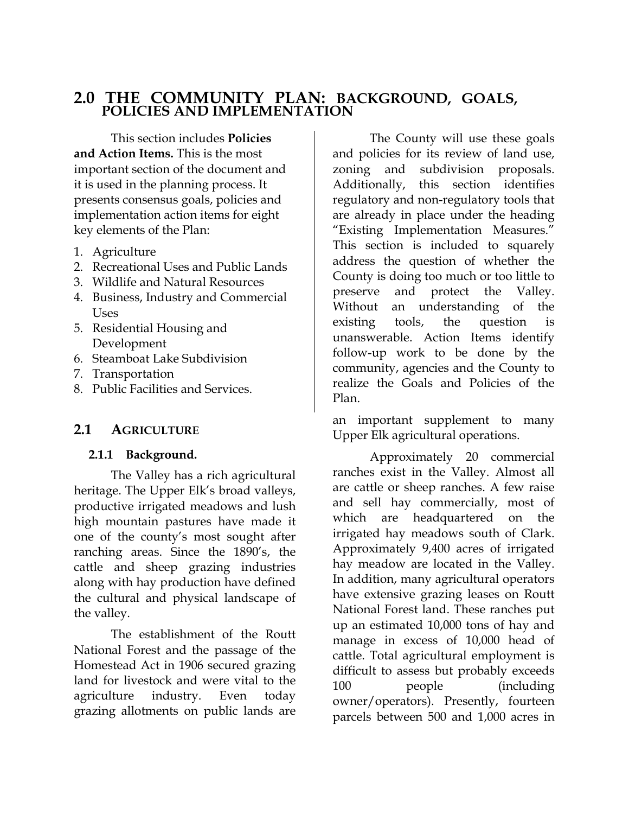## <span id="page-16-0"></span>**2.0 THE COMMUNITY PLAN: BACKGROUND, GOALS, POLICIES AND IMPLEMENTATION**

This section includes **Policies and Action Items.** This is the most important section of the document and it is used in the planning process. It presents consensus goals, policies and implementation action items for eight key elements of the Plan:

- 1. Agriculture
- 2. Recreational Uses and Public Lands
- 3. Wildlife and Natural Resources
- 4. Business, Industry and Commercial Uses
- 5. Residential Housing and Development
- 6. Steamboat Lake Subdivision
- 7. Transportation
- 8. Public Facilities and Services.

#### **2.1 AGRICULTURE**

#### **2.1.1 Background.**

The Valley has a rich agricultural heritage. The Upper Elk's broad valleys, productive irrigated meadows and lush high mountain pastures have made it one of the county's most sought after ranching areas. Since the 1890's, the cattle and sheep grazing industries along with hay production have defined the cultural and physical landscape of the valley.

The establishment of the Routt National Forest and the passage of the Homestead Act in 1906 secured grazing land for livestock and were vital to the agriculture industry. Even today grazing allotments on public lands are

The County will use these goals and policies for its review of land use, zoning and subdivision proposals. Additionally, this section identifies regulatory and non-regulatory tools that are already in place under the heading "Existing Implementation Measures." This section is included to squarely address the question of whether the County is doing too much or too little to preserve and protect the Valley. Without an understanding of the existing tools, the question is unanswerable. Action Items identify follow-up work to be done by the community, agencies and the County to realize the Goals and Policies of the Plan.

an important supplement to many Upper Elk agricultural operations.

Approximately 20 commercial ranches exist in the Valley. Almost all are cattle or sheep ranches. A few raise and sell hay commercially, most of which are headquartered on the irrigated hay meadows south of Clark. Approximately 9,400 acres of irrigated hay meadow are located in the Valley. In addition, many agricultural operators have extensive grazing leases on Routt National Forest land. These ranches put up an estimated 10,000 tons of hay and manage in excess of 10,000 head of cattle. Total agricultural employment is difficult to assess but probably exceeds 100 people (including owner/operators). Presently, fourteen parcels between 500 and 1,000 acres in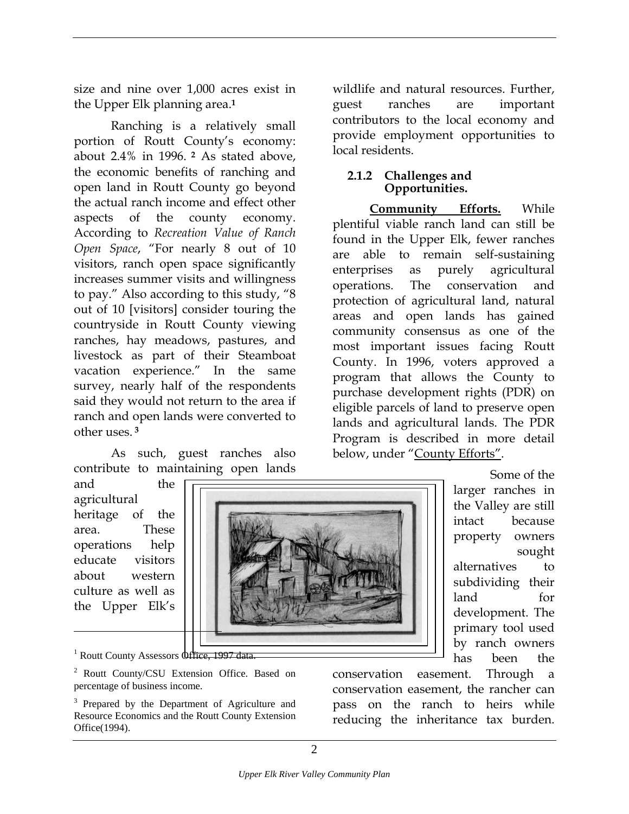<span id="page-17-0"></span>size and nine over 1,000 acres exist in the Upper Elk planning area.**[1](#page-17-1)**

Ranching is a relatively small portion of Routt County's economy: about 2.4% in 1996. **[2](#page-17-2)** As stated above, the economic benefits of ranching and open land in Routt County go beyond the actual ranch income and effect other aspects of the county economy. According to *Recreation Value of Ranch Open Space*, "For nearly 8 out of 10 visitors, ranch open space significantly increases summer visits and willingness to pay." Also according to this study, "8 out of 10 [visitors] consider touring the countryside in Routt County viewing ranches, hay meadows, pastures, and livestock as part of their Steamboat vacation experience." In the same survey, nearly half of the respondents said they would not return to the area if ranch and open lands were converted to other uses. **[3](#page-17-3)**

As such, guest ranches also contribute to maintaining open lands

and the agricultural heritage of the area. These operations help educate visitors about western culture as well as the Upper Elk's

 $\overline{a}$ 



Some of the larger ranches in the Valley are still intact because property owners sought alternatives to subdividing their land for development. The primary tool used by ranch owners has been the

<span id="page-17-1"></span><sup>1</sup> Routt County Assessors Office, 1997 data.

<span id="page-17-2"></span><sup>2</sup> Routt County/CSU Extension Office. Based on percentage of business income.

<span id="page-17-3"></span><sup>3</sup> Prepared by the Department of Agriculture and Resource Economics and the Routt County Extension Office(1994).

conservation easement. Through a conservation easement, the rancher can pass on the ranch to heirs while reducing the inheritance tax burden.

wildlife and natural resources. Further, guest ranches are important contributors to the local economy and provide employment opportunities to local residents.

#### **2.1.2 Challenges and Opportunities.**

**Community Efforts.** While plentiful viable ranch land can still be found in the Upper Elk, fewer ranches are able to remain self-sustaining enterprises as purely agricultural operations. The conservation and protection of agricultural land, natural areas and open lands has gained community consensus as one of the most important issues facing Routt County. In 1996, voters approved a program that allows the County to purchase development rights (PDR) on eligible parcels of land to preserve open lands and agricultural lands. The PDR Program is described in more detail below, under "County Efforts".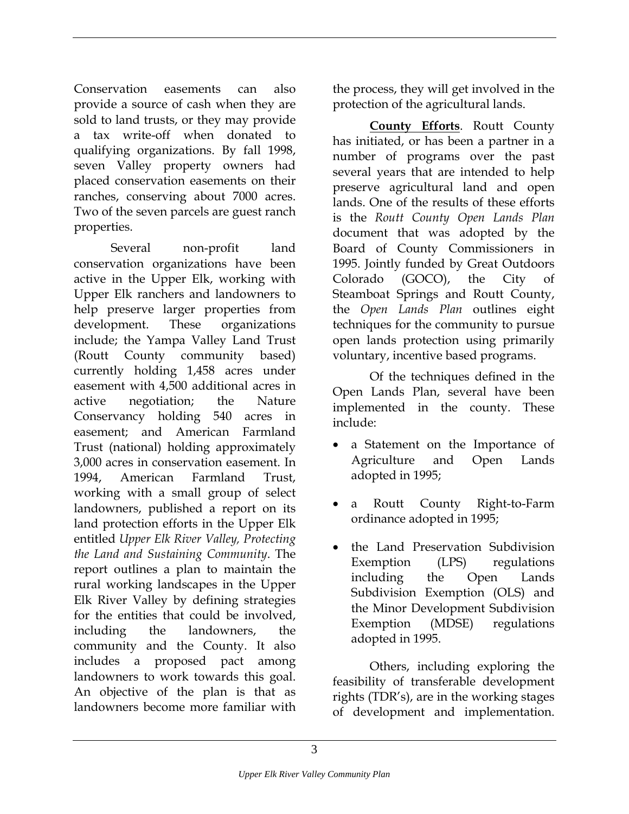Conservation easements can also provide a source of cash when they are sold to land trusts, or they may provide a tax write-off when donated to qualifying organizations. By fall 1998, seven Valley property owners had placed conservation easements on their ranches, conserving about 7000 acres. Two of the seven parcels are guest ranch properties.

Several non-profit land conservation organizations have been active in the Upper Elk, working with Upper Elk ranchers and landowners to help preserve larger properties from development. These organizations include; the Yampa Valley Land Trust (Routt County community based) currently holding 1,458 acres under easement with 4,500 additional acres in active negotiation; the Nature Conservancy holding 540 acres in easement; and American Farmland Trust (national) holding approximately 3,000 acres in conservation easement. In 1994, American Farmland Trust, working with a small group of select landowners, published a report on its land protection efforts in the Upper Elk entitled *Upper Elk River Valley, Protecting the Land and Sustaining Community*. The report outlines a plan to maintain the rural working landscapes in the Upper Elk River Valley by defining strategies for the entities that could be involved, including the landowners, the community and the County. It also includes a proposed pact among landowners to work towards this goal. An objective of the plan is that as landowners become more familiar with

the process, they will get involved in the protection of the agricultural lands.

**County Efforts**. Routt County has initiated, or has been a partner in a number of programs over the past several years that are intended to help preserve agricultural land and open lands. One of the results of these efforts is the *Routt County Open Lands Plan* document that was adopted by the Board of County Commissioners in 1995. Jointly funded by Great Outdoors Colorado (GOCO), the City of Steamboat Springs and Routt County, the *Open Lands Plan* outlines eight techniques for the community to pursue open lands protection using primarily voluntary, incentive based programs.

Of the techniques defined in the Open Lands Plan, several have been implemented in the county. These include:

- a Statement on the Importance of Agriculture and Open Lands adopted in 1995;
- a Routt County Right-to-Farm ordinance adopted in 1995;
- the Land Preservation Subdivision Exemption (LPS) regulations including the Open Lands Subdivision Exemption (OLS) and the Minor Development Subdivision Exemption (MDSE) regulations adopted in 1995.

Others, including exploring the feasibility of transferable development rights (TDR's), are in the working stages of development and implementation.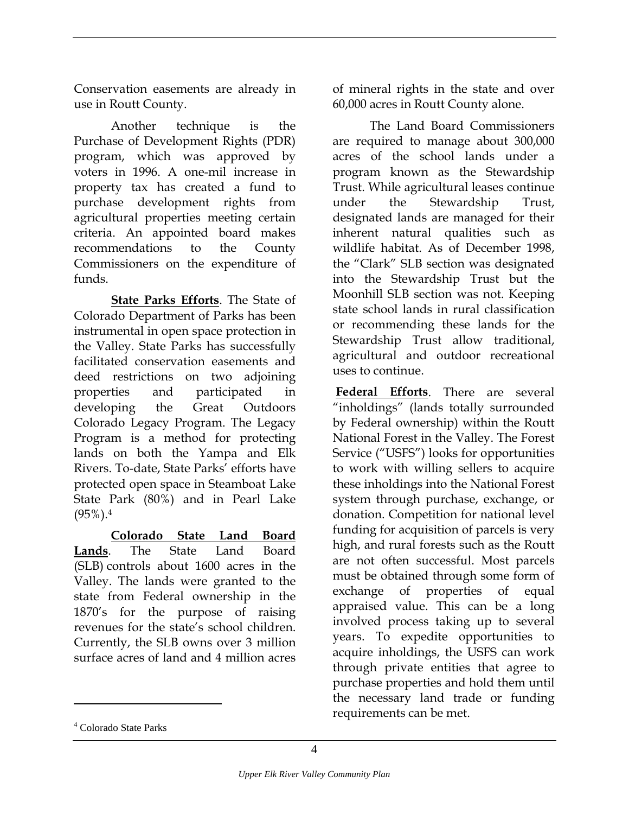Conservation easements are already in use in Routt County.

Another technique is the Purchase of Development Rights (PDR) program, which was approved by voters in 1996. A one-mil increase in property tax has created a fund to purchase development rights from agricultural properties meeting certain criteria. An appointed board makes recommendations to the County Commissioners on the expenditure of funds.

**State Parks Efforts**. The State of Colorado Department of Parks has been instrumental in open space protection in the Valley. State Parks has successfully facilitated conservation easements and deed restrictions on two adjoining properties and participated in developing the Great Outdoors Colorado Legacy Program. The Legacy Program is a method for protecting lands on both the Yampa and Elk Rivers. To-date, State Parks' efforts have protected open space in Steamboat Lake State Park (80%) and in Pearl Lake  $(95\%)$ <sup>4</sup>

**Colorado State Land Board Lands**. The State Land Board (SLB) controls about 1600 acres in the Valley. The lands were granted to the state from Federal ownership in the 1870's for the purpose of raising revenues for the state's school children. Currently, the SLB owns over 3 million surface acres of land and 4 million acres

of mineral rights in the state and over 60,000 acres in Routt County alone.

The Land Board Commissioners are required to manage about 300,000 acres of the school lands under a program known as the Stewardship Trust. While agricultural leases continue under the Stewardship Trust, designated lands are managed for their inherent natural qualities such as wildlife habitat. As of December 1998, the "Clark" SLB section was designated into the Stewardship Trust but the Moonhill SLB section was not. Keeping state school lands in rural classification or recommending these lands for the Stewardship Trust allow traditional, agricultural and outdoor recreational uses to continue.

**Federal Efforts**. There are several "inholdings" (lands totally surrounded by Federal ownership) within the Routt National Forest in the Valley. The Forest Service ("USFS") looks for opportunities to work with willing sellers to acquire these inholdings into the National Forest system through purchase, exchange, or donation. Competition for national level funding for acquisition of parcels is very high, and rural forests such as the Routt are not often successful. Most parcels must be obtained through some form of exchange of properties of equal appraised value. This can be a long involved process taking up to several years. To expedite opportunities to acquire inholdings, the USFS can work through private entities that agree to purchase properties and hold them until the necessary land trade or funding requirements can be met.

<span id="page-19-0"></span><sup>4</sup> Colorado State Parks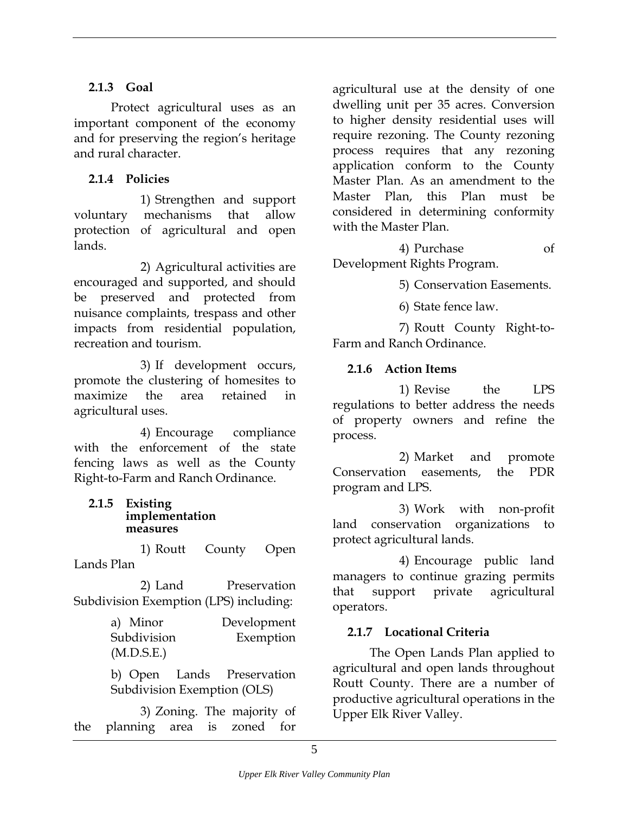#### <span id="page-20-0"></span>**2.1.3 Goal**

Protect agricultural uses as an important component of the economy and for preserving the region's heritage and rural character.

#### **2.1.4 Policies**

1) Strengthen and support voluntary mechanisms that allow protection of agricultural and open lands.

2) Agricultural activities are encouraged and supported, and should be preserved and protected from nuisance complaints, trespass and other impacts from residential population, recreation and tourism.

3) If development occurs, promote the clustering of homesites to maximize the area retained in agricultural uses.

4) Encourage compliance with the enforcement of the state fencing laws as well as the County Right-to-Farm and Ranch Ordinance.

#### **2.1.5 Existing implementation measures**

1) Routt County Open Lands Plan

2) Land Preservation Subdivision Exemption (LPS) including:

> a) Minor Development Subdivision Exemption (M.D.S.E.)

> b) Open Lands Preservation Subdivision Exemption (OLS)

3) Zoning. The majority of the planning area is zoned for agricultural use at the density of one dwelling unit per 35 acres. Conversion to higher density residential uses will require rezoning. The County rezoning process requires that any rezoning application conform to the County Master Plan. As an amendment to the Master Plan, this Plan must be considered in determining conformity with the Master Plan.

4) Purchase of Development Rights Program.

5) Conservation Easements.

6) State fence law.

7) Routt County Right-to-Farm and Ranch Ordinance.

#### **2.1.6 Action Items**

1) Revise the LPS regulations to better address the needs of property owners and refine the process.

2) Market and promote Conservation easements, the PDR program and LPS.

3) Work with non-profit land conservation organizations to protect agricultural lands.

4) Encourage public land managers to continue grazing permits that support private agricultural operators.

#### **2.1.7 Locational Criteria**

The Open Lands Plan applied to agricultural and open lands throughout Routt County. There are a number of productive agricultural operations in the Upper Elk River Valley.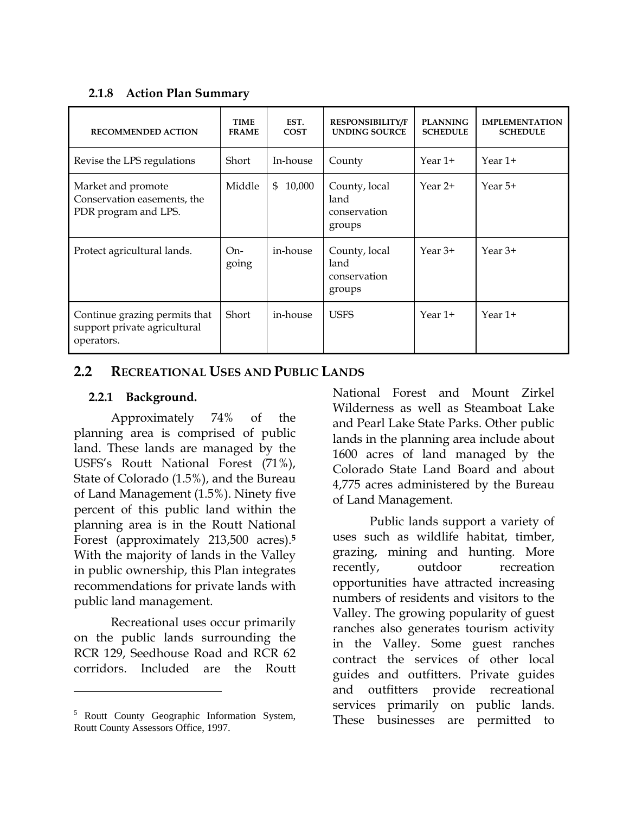#### <span id="page-21-0"></span>**2.1.8 Action Plan Summary**

| <b>RECOMMENDED ACTION</b>                                                   | <b>TIME</b><br><b>FRAME</b> | EST.<br><b>COST</b> | <b>RESPONSIBILITY/F</b><br><b>UNDING SOURCE</b> | <b>PLANNING</b><br><b>SCHEDULE</b> | <b>IMPLEMENTATION</b><br><b>SCHEDULE</b> |
|-----------------------------------------------------------------------------|-----------------------------|---------------------|-------------------------------------------------|------------------------------------|------------------------------------------|
| Revise the LPS regulations                                                  | Short                       | In-house            | County                                          | Year $1+$                          | Year $1+$                                |
| Market and promote<br>Conservation easements, the<br>PDR program and LPS.   | Middle                      | 10,000<br>\$        | County, local<br>land<br>conservation<br>groups | Year $2+$                          | Year $5+$                                |
| Protect agricultural lands.                                                 | $On-$<br>going              | in-house            | County, local<br>land<br>conservation<br>groups | Year $3+$                          | Year $3+$                                |
| Continue grazing permits that<br>support private agricultural<br>operators. | Short                       | in-house            | <b>USFS</b>                                     | Year 1+                            | Year $1+$                                |

#### **2.2 RECREATIONAL USES AND PUBLIC LANDS**

#### **2.2.1 Background.**

Approximately 74% of the planning area is comprised of public land. These lands are managed by the USFS's Routt National Forest (71%), State of Colorado (1.5%), and the Bureau of Land Management (1.5%). Ninety five percent of this public land within the planning area is in the Routt National Forest (approximately 213,500 acres).**[5](#page-21-1)** With the majority of lands in the Valley in public ownership, this Plan integrates recommendations for private lands with public land management.

Recreational uses occur primarily on the public lands surrounding the RCR 129, Seedhouse Road and RCR 62 corridors. Included are the Routt

 $\overline{a}$ 

National Forest and Mount Zirkel Wilderness as well as Steamboat Lake and Pearl Lake State Parks. Other public lands in the planning area include about 1600 acres of land managed by the Colorado State Land Board and about 4,775 acres administered by the Bureau of Land Management.

Public lands support a variety of uses such as wildlife habitat, timber, grazing, mining and hunting. More recently, outdoor recreation opportunities have attracted increasing numbers of residents and visitors to the Valley. The growing popularity of guest ranches also generates tourism activity in the Valley. Some guest ranches contract the services of other local guides and outfitters. Private guides and outfitters provide recreational services primarily on public lands. These businesses are permitted to

<span id="page-21-1"></span><sup>&</sup>lt;sup>5</sup> Routt County Geographic Information System, Routt County Assessors Office, 1997.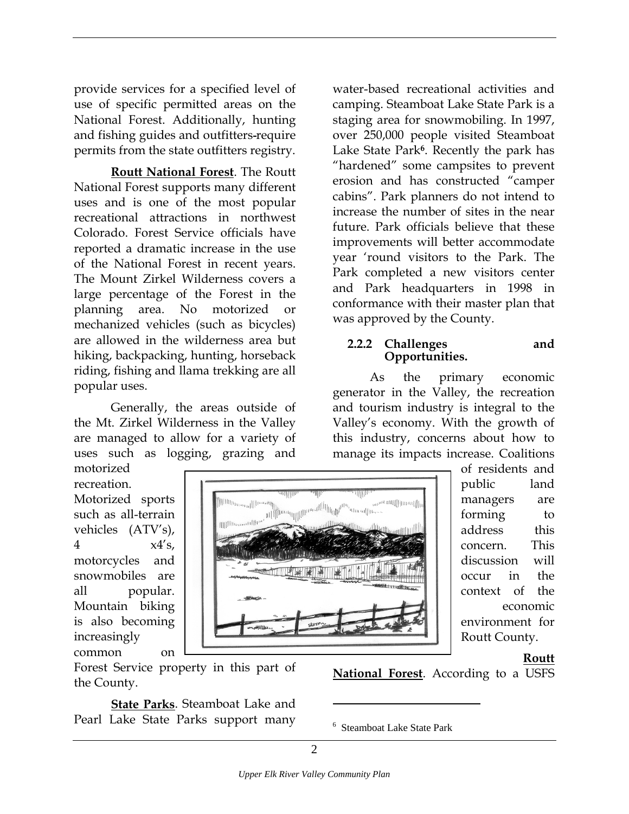<span id="page-22-0"></span>provide services for a specified level of use of specific permitted areas on the National Forest. Additionally, hunting and fishing guides and outfitters require permits from the state outfitters registry.

**Routt National Forest**. The Routt National Forest supports many different uses and is one of the most popular recreational attractions in northwest Colorado. Forest Service officials have reported a dramatic increase in the use of the National Forest in recent years. The Mount Zirkel Wilderness covers a large percentage of the Forest in the planning area. No motorized or mechanized vehicles (such as bicycles) are allowed in the wilderness area but hiking, backpacking, hunting, horseback riding, fishing and llama trekking are all popular uses.

Generally, the areas outside of the Mt. Zirkel Wilderness in the Valley are managed to allow for a variety of uses such as logging, grazing and

motorized recreation. Motorized sports such as all-terrain vehicles (ATV's), 4  $x4's$ , motorcycles and snowmobiles are all popular. Mountain biking is also becoming increasingly common on

w<sup>w.mm</sup>lllimmill 

was approved by the County. **2.2.2 Challenges and Opportunities.**  As the primary economic generator in the Valley, the recreation and tourism industry is integral to the Valley's economy. With the growth of this industry, concerns about how to manage its impacts increase. Coalitions of residents and public land managers are

water-based recreational activities and camping. Steamboat Lake State Park is a staging area for snowmobiling. In 1997, over 250,000 people visited Steamboat Lake State Park**[6](#page-22-1)**. Recently the park has "hardened" some campsites to prevent erosion and has constructed "camper cabins". Park planners do not intend to increase the number of sites in the near future. Park officials believe that these improvements will better accommodate year 'round visitors to the Park. The Park completed a new visitors center and Park headquarters in 1998 in conformance with their master plan that

> forming to address this concern. This discussion will occur in the context of the economic environment for Routt County.

#### **Routt**

Forest Service property in this part of the County.

**State Parks**. Steamboat Lake and Pearl Lake State Parks support many **National Forest**. According to a USFS

<span id="page-22-1"></span>6 Steamboat Lake State Park

 $\overline{a}$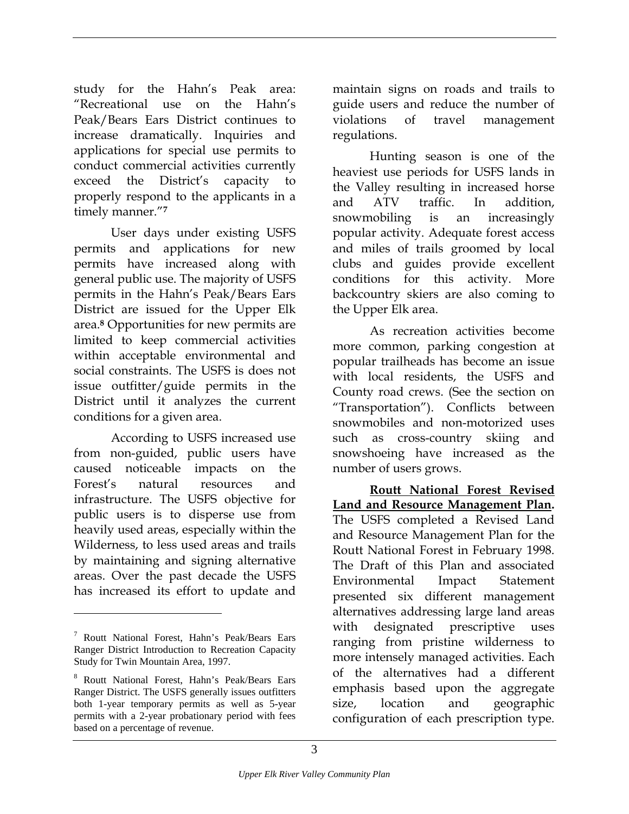study for the Hahn's Peak area: "Recreational use on the Hahn's Peak/Bears Ears District continues to increase dramatically. Inquiries and applications for special use permits to conduct commercial activities currently exceed the District's capacity to properly respond to the applicants in a timely manner."**[7](#page-23-0)**

User days under existing USFS permits and applications for new permits have increased along with general public use. The majority of USFS permits in the Hahn's Peak/Bears Ears District are issued for the Upper Elk area.**[8](#page-23-1)** Opportunities for new permits are limited to keep commercial activities within acceptable environmental and social constraints. The USFS is does not issue outfitter/guide permits in the District until it analyzes the current conditions for a given area.

According to USFS increased use from non-guided, public users have caused noticeable impacts on the Forest's natural resources and infrastructure. The USFS objective for public users is to disperse use from heavily used areas, especially within the Wilderness, to less used areas and trails by maintaining and signing alternative areas. Over the past decade the USFS has increased its effort to update and

1

maintain signs on roads and trails to guide users and reduce the number of violations of travel management regulations.

Hunting season is one of the heaviest use periods for USFS lands in the Valley resulting in increased horse and ATV traffic. In addition, snowmobiling is an increasingly popular activity. Adequate forest access and miles of trails groomed by local clubs and guides provide excellent conditions for this activity. More backcountry skiers are also coming to the Upper Elk area.

As recreation activities become more common, parking congestion at popular trailheads has become an issue with local residents, the USFS and County road crews. (See the section on "Transportation"). Conflicts between snowmobiles and non-motorized uses such as cross-country skiing and snowshoeing have increased as the number of users grows.

**Routt National Forest Revised Land and Resource Management Plan.** The USFS completed a Revised Land and Resource Management Plan for the Routt National Forest in February 1998. The Draft of this Plan and associated Environmental Impact Statement presented six different management alternatives addressing large land areas with designated prescriptive uses ranging from pristine wilderness to more intensely managed activities. Each of the alternatives had a different emphasis based upon the aggregate size, location and geographic configuration of each prescription type.

<span id="page-23-0"></span><sup>7</sup> Routt National Forest, Hahn's Peak/Bears Ears Ranger District Introduction to Recreation Capacity Study for Twin Mountain Area, 1997.

<span id="page-23-1"></span><sup>8</sup> Routt National Forest, Hahn's Peak/Bears Ears Ranger District. The USFS generally issues outfitters both 1-year temporary permits as well as 5-year permits with a 2-year probationary period with fees based on a percentage of revenue.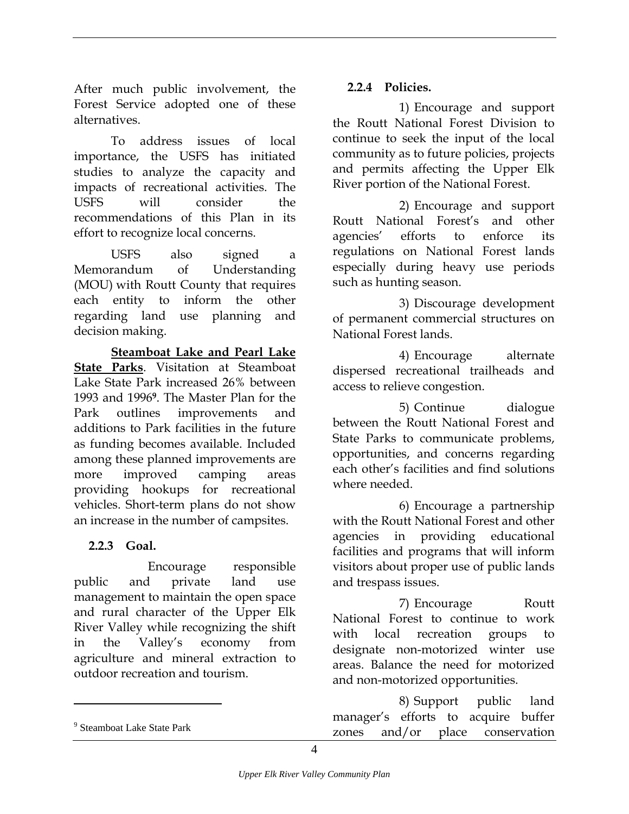<span id="page-24-0"></span>After much public involvement, the **2.2.4 Policies.**  Forest Service adopted one of these

To address issues of local importance, the USFS has initiated studies to analyze the capacity and impacts of recreational activities. The USFS will consider the recommendations of this Plan in its effort to recognize local concerns.

USFS also signed a Memorandum of Understanding (MOU) with Routt County that requires each entity to inform the other regarding land use planning and decision making.

**Steamboat Lake and Pearl Lake State Parks**. Visitation at Steamboat Lake State Park increased 26% between 1993 and 1996**[9](#page-24-1)**. The Master Plan for the Park outlines improvements and additions to Park facilities in the future as funding becomes available. Included among these planned improvements are more improved camping areas providing hookups for recreational vehicles. Short-term plans do not show an increase in the number of campsites.

#### **2.2.3 Goal.**

Encourage responsible public and private land use management to maintain the open space and rural character of the Upper Elk River Valley while recognizing the shift in the Valley's economy from agriculture and mineral extraction to outdoor recreation and tourism.

alternatives. 1) Encourage and support the Routt National Forest Division to continue to seek the input of the local community as to future policies, projects and permits affecting the Upper Elk River portion of the National Forest.

> 2) Encourage and support Routt National Forest's and other agencies' efforts to enforce its regulations on National Forest lands especially during heavy use periods such as hunting season.

> 3) Discourage development of permanent commercial structures on National Forest lands.

> 4) Encourage alternate dispersed recreational trailheads and access to relieve congestion.

> 5) Continue dialogue between the Routt National Forest and State Parks to communicate problems, opportunities, and concerns regarding each other's facilities and find solutions where needed.

> 6) Encourage a partnership with the Routt National Forest and other agencies in providing educational facilities and programs that will inform visitors about proper use of public lands and trespass issues.

> 7) Encourage Routt National Forest to continue to work with local recreation groups to designate non-motorized winter use areas. Balance the need for motorized and non-motorized opportunities.

> 8) Support public land manager's efforts to acquire buffer zones and/or place conservation

 $\overline{a}$ 

<span id="page-24-1"></span><sup>9</sup> Steamboat Lake State Park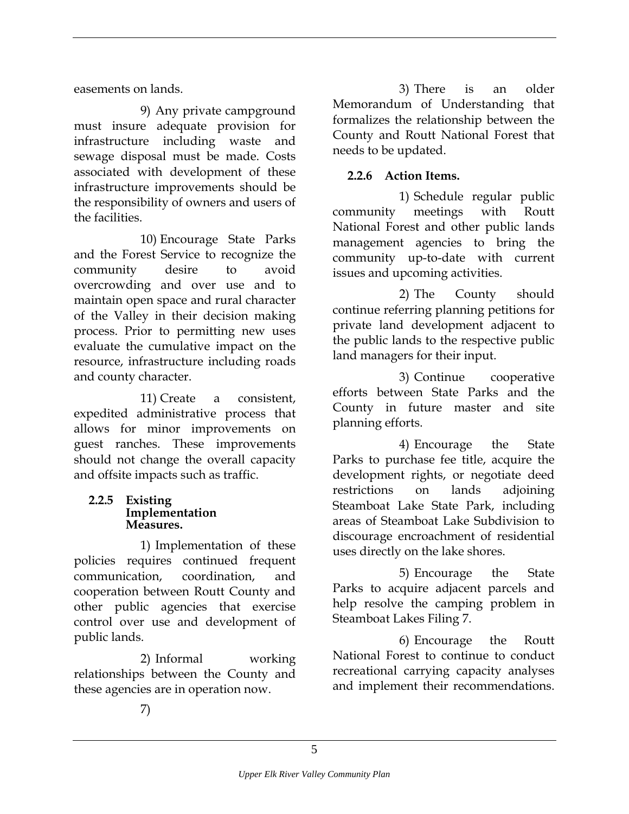<span id="page-25-0"></span>easements on lands.

9) Any private campground must insure adequate provision for infrastructure including waste and sewage disposal must be made. Costs associated with development of these infrastructure improvements should be the responsibility of owners and users of the facilities.

10) Encourage State Parks and the Forest Service to recognize the community desire to avoid overcrowding and over use and to maintain open space and rural character of the Valley in their decision making process. Prior to permitting new uses evaluate the cumulative impact on the resource, infrastructure including roads and county character.

11) Create a consistent, expedited administrative process that allows for minor improvements on guest ranches. These improvements should not change the overall capacity and offsite impacts such as traffic.

#### **2.2.5 Existing Implementation Measures.**

1) Implementation of these policies requires continued frequent communication, coordination, and cooperation between Routt County and other public agencies that exercise control over use and development of public lands.

2) Informal working relationships between the County and these agencies are in operation now.

3) There is an older Memorandum of Understanding that formalizes the relationship between the County and Routt National Forest that needs to be updated.

#### **2.2.6 Action Items.**

1) Schedule regular public community meetings with Routt National Forest and other public lands management agencies to bring the community up-to-date with current issues and upcoming activities.

2) The County should continue referring planning petitions for private land development adjacent to the public lands to the respective public land managers for their input.

3) Continue cooperative efforts between State Parks and the County in future master and site planning efforts.

4) Encourage the State Parks to purchase fee title, acquire the development rights, or negotiate deed restrictions on lands adjoining Steamboat Lake State Park, including areas of Steamboat Lake Subdivision to discourage encroachment of residential uses directly on the lake shores.

5) Encourage the State Parks to acquire adjacent parcels and help resolve the camping problem in Steamboat Lakes Filing 7.

6) Encourage the Routt National Forest to continue to conduct recreational carrying capacity analyses and implement their recommendations.

7)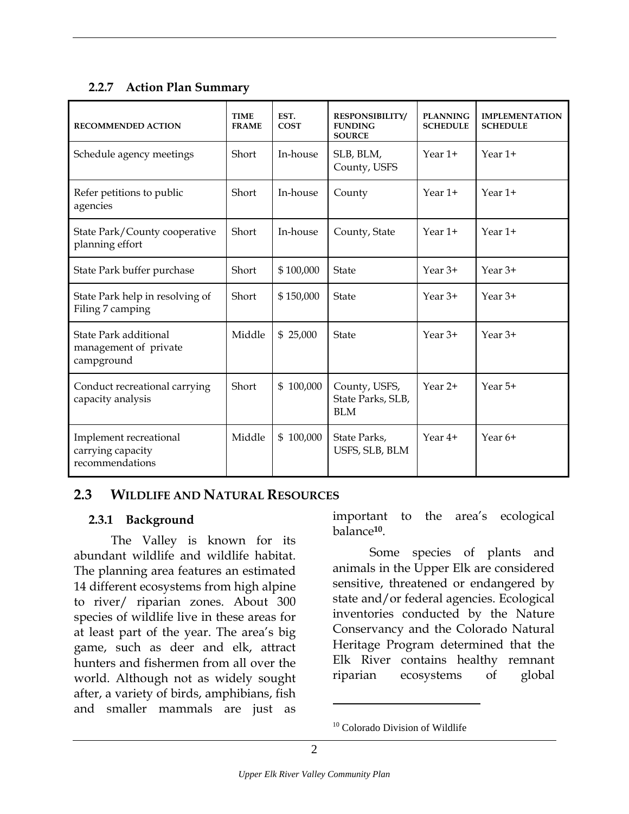#### <span id="page-26-0"></span>**2.2.7 Action Plan Summary**

| <b>RECOMMENDED ACTION</b>                                      | <b>TIME</b><br><b>FRAME</b> | EST.<br><b>COST</b> | <b>RESPONSIBILITY/</b><br><b>FUNDING</b><br><b>SOURCE</b> | <b>PLANNING</b><br><b>SCHEDULE</b> | <b>IMPLEMENTATION</b><br><b>SCHEDULE</b> |
|----------------------------------------------------------------|-----------------------------|---------------------|-----------------------------------------------------------|------------------------------------|------------------------------------------|
| Schedule agency meetings                                       | Short                       | In-house            | SLB, BLM,<br>County, USFS                                 | Year $1+$                          | Year $1+$                                |
| Refer petitions to public<br>agencies                          | Short                       | In-house            | County                                                    | Year $1+$                          | Year $1+$                                |
| State Park/County cooperative<br>planning effort               | Short                       | In-house            | County, State                                             | Year $1+$                          | Year $1+$                                |
| State Park buffer purchase                                     | Short                       | \$100,000           | <b>State</b>                                              | Year $3+$                          | Year $3+$                                |
| State Park help in resolving of<br>Filing 7 camping            | Short                       | \$150,000           | <b>State</b>                                              | Year $3+$                          | Year $3+$                                |
| State Park additional<br>management of private<br>campground   | Middle                      | \$25,000            | <b>State</b>                                              | Year $3+$                          | Year $3+$                                |
| Conduct recreational carrying<br>capacity analysis             | Short                       | \$100,000           | County, USFS,<br>State Parks, SLB,<br><b>BLM</b>          | Year 2+                            | Year 5+                                  |
| Implement recreational<br>carrying capacity<br>recommendations | Middle                      | \$100,000           | State Parks,<br>USFS, SLB, BLM                            | Year 4+                            | Year 6+                                  |

#### **2.3 WILDLIFE AND NATURAL RESOURCES**

#### **2.3.1 Background**

The Valley is known for its abundant wildlife and wildlife habitat. The planning area features an estimated 14 different ecosystems from high alpine to river/ riparian zones. About 300 species of wildlife live in these areas for at least part of the year. The area's big game, such as deer and elk, attract hunters and fishermen from all over the world. Although not as widely sought after, a variety of birds, amphibians, fish and smaller mammals are just as

important to the area's ecological balance**[10](#page-26-1)**.

Some species of plants and animals in the Upper Elk are considered sensitive, threatened or endangered by state and/or federal agencies. Ecological inventories conducted by the Nature Conservancy and the Colorado Natural Heritage Program determined that the Elk River contains healthy remnant riparian ecosystems of global

 $\overline{a}$ 

<span id="page-26-1"></span><sup>&</sup>lt;sup>10</sup> Colorado Division of Wildlife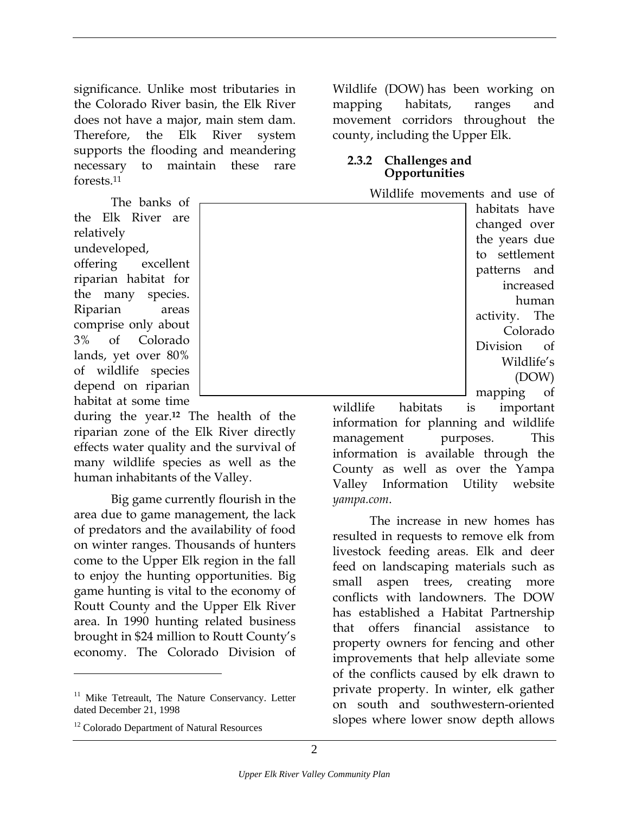<span id="page-27-0"></span>significance. Unlike most tributaries in the Colorado River basin, the Elk River does not have a major, main stem dam. Therefore, the Elk River system supports the flooding and meandering necessary to maintain these rare forests[.11](#page-27-1) 

The banks of the Elk River are relatively undeveloped, offering excellent riparian habitat for the many species. Riparian areas comprise only about 3% of Colorado lands, yet over 80% of wildlife species depend on riparian habitat at some time

during the year.**[12](#page-27-2)** The health of the riparian zone of the Elk River directly effects water quality and the survival of many wildlife species as well as the human inhabitants of the Valley.

Big game currently flourish in the area due to game management, the lack of predators and the availability of food on winter ranges. Thousands of hunters come to the Upper Elk region in the fall to enjoy the hunting opportunities. Big game hunting is vital to the economy of Routt County and the Upper Elk River area. In 1990 hunting related business brought in \$24 million to Routt County's economy. The Colorado Division of

1

Wildlife (DOW) has been working on mapping habitats, ranges and movement corridors throughout the county, including the Upper Elk.

#### **2.3.2 Challenges and Opportunities**

Wildlife movements and use of

habitats have changed over the years due to settlement patterns and increased human activity. The Colorado Division of Wildlife's (DOW) mapping of

wildlife habitats is important information for planning and wildlife management purposes. This information is available through the County as well as over the Yampa Valley Information Utility website *yampa.com*.

The increase in new homes has resulted in requests to remove elk from livestock feeding areas. Elk and deer feed on landscaping materials such as small aspen trees, creating more conflicts with landowners. The DOW has established a Habitat Partnership that offers financial assistance to property owners for fencing and other improvements that help alleviate some of the conflicts caused by elk drawn to private property. In winter, elk gather on south and southwestern-oriented slopes where lower snow depth allows



<span id="page-27-1"></span><sup>&</sup>lt;sup>11</sup> Mike Tetreault, The Nature Conservancy. Letter dated December 21, 1998

<span id="page-27-2"></span><sup>&</sup>lt;sup>12</sup> Colorado Department of Natural Resources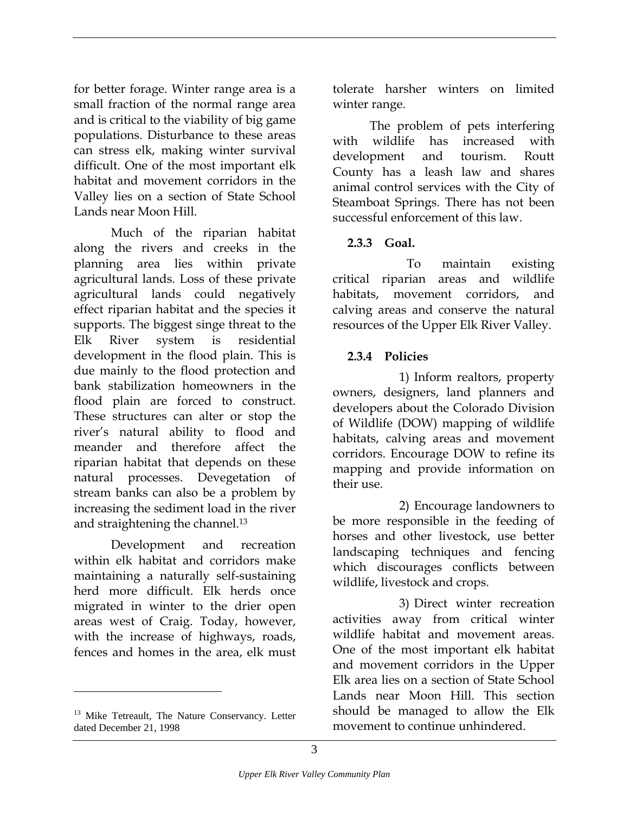<span id="page-28-0"></span>for better forage. Winter range area is a small fraction of the normal range area and is critical to the viability of big game populations. Disturbance to these areas can stress elk, making winter survival difficult. One of the most important elk habitat and movement corridors in the Valley lies on a section of State School Lands near Moon Hill.

Much of the riparian habitat along the rivers and creeks in the planning area lies within private agricultural lands. Loss of these private agricultural lands could negatively effect riparian habitat and the species it supports. The biggest singe threat to the Elk River system is residential development in the flood plain. This is due mainly to the flood protection and bank stabilization homeowners in the flood plain are forced to construct. These structures can alter or stop the river's natural ability to flood and meander and therefore affect the riparian habitat that depends on these natural processes. Devegetation of stream banks can also be a problem by increasing the sediment load in the river and straightening the channel.[13](#page-28-1)

Development and recreation within elk habitat and corridors make maintaining a naturally self-sustaining herd more difficult. Elk herds once migrated in winter to the drier open areas west of Craig. Today, however, with the increase of highways, roads, fences and homes in the area, elk must

 $\overline{a}$ 

tolerate harsher winters on limited winter range.

The problem of pets interfering with wildlife has increased with development and tourism. Routt County has a leash law and shares animal control services with the City of Steamboat Springs. There has not been successful enforcement of this law.

#### **2.3.3 Goal.**

To maintain existing critical riparian areas and wildlife habitats, movement corridors, and calving areas and conserve the natural resources of the Upper Elk River Valley.

#### **2.3.4 Policies**

1) Inform realtors, property owners, designers, land planners and developers about the Colorado Division of Wildlife (DOW) mapping of wildlife habitats, calving areas and movement corridors. Encourage DOW to refine its mapping and provide information on their use.

2) Encourage landowners to be more responsible in the feeding of horses and other livestock, use better landscaping techniques and fencing which discourages conflicts between wildlife, livestock and crops.

3) Direct winter recreation activities away from critical winter wildlife habitat and movement areas. One of the most important elk habitat and movement corridors in the Upper Elk area lies on a section of State School Lands near Moon Hill. This section should be managed to allow the Elk movement to continue unhindered.

<span id="page-28-1"></span><sup>&</sup>lt;sup>13</sup> Mike Tetreault, The Nature Conservancy. Letter dated December 21, 1998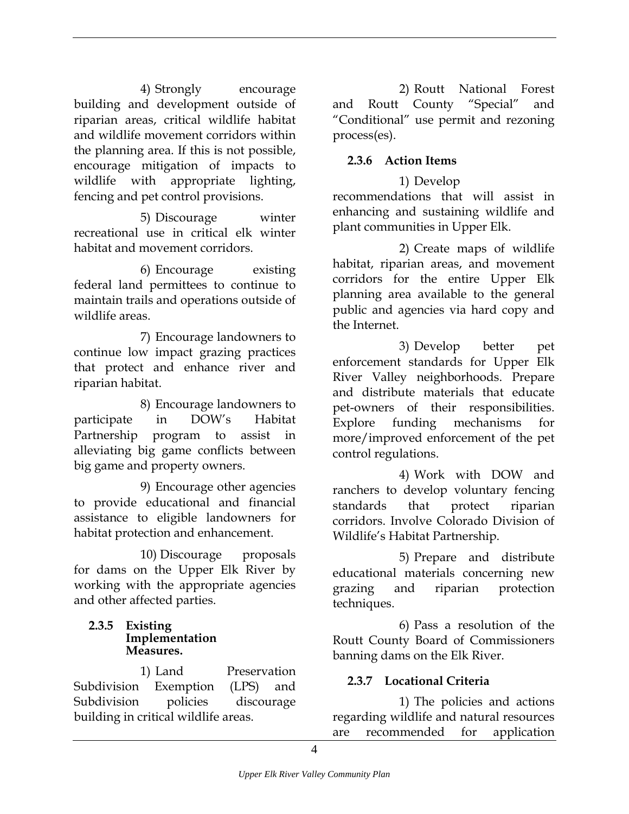<span id="page-29-0"></span>4) Strongly encourage building and development outside of riparian areas, critical wildlife habitat and wildlife movement corridors within the planning area. If this is not possible, encourage mitigation of impacts to wildlife with appropriate lighting, fencing and pet control provisions.

5) Discourage winter enhancing and sustaining winds<br>plant communities in Upper Elk. recreational use in critical elk winter habitat and movement corridors. 2) Create maps of wildlife

6) Encourage existing federal land permittees to continue to maintain trails and operations outside of wildlife areas.

7) Encourage landowners to continue low impact grazing practices that protect and enhance river and riparian habitat.

8) Encourage landowners to participate in DOW's Habitat Partnership program to assist in alleviating big game conflicts between

9) Encourage other agencies to provide educational and financial assistance to eligible landowners for habitat protection and enhancement.

10) Discourage proposals for dams on the Upper Elk River by working with the appropriate agencies and other affected parties.

#### **2.3.5 Existing Implementation Measures.**

1) Land Preservation Subdivision Exemption (LPS) and Subdivision policies discourage building in critical wildlife areas.

2) Routt National Forest and Routt County "Special" and "Conditional" use permit and rezoning process(es).

#### **2.3.6 Action Items**

1) Develop recommendations that will assist in enhancing and sustaining wildlife and

habitat, riparian areas, and movement corridors for the entire Upper Elk planning area available to the general public and agencies via hard copy and the Internet.

3) Develop better pet enforcement standards for Upper Elk River Valley neighborhoods. Prepare and distribute materials that educate pet-owners of their responsibilities. Explore funding mechanisms for more/improved enforcement of the pet control regulations.

big game and property owners.<br>
4) Work with DOW and ranchers to develop voluntary fencing standards that protect riparian corridors. Involve Colorado Division of Wildlife's Habitat Partnership.

> 5) Prepare and distribute educational materials concerning new grazing and riparian protection techniques.

> 6) Pass a resolution of the Routt County Board of Commissioners banning dams on the Elk River.

#### **2.3.7 Locational Criteria**

1) The policies and actions regarding wildlife and natural resources are recommended for application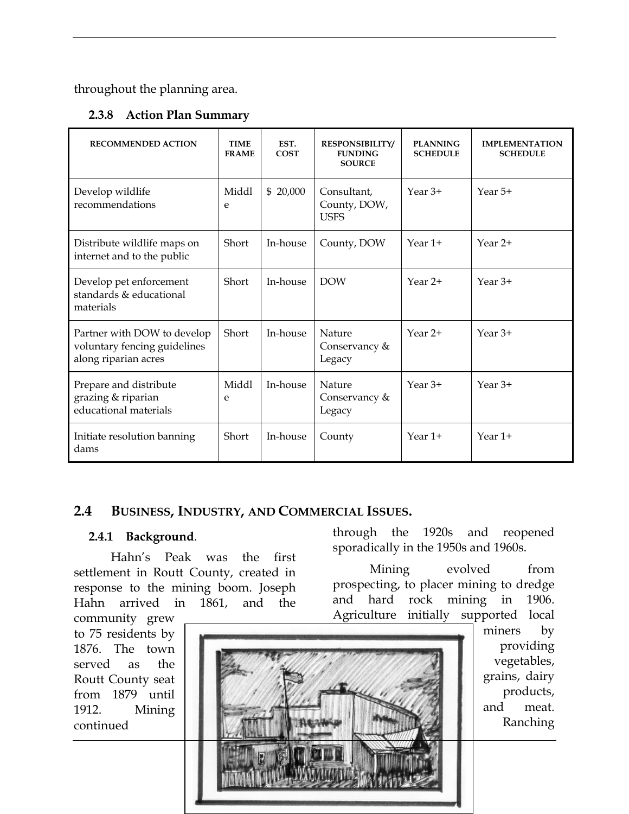<span id="page-30-0"></span>throughout the planning area.

#### **2.3.8 Action Plan Summary**

| <b>RECOMMENDED ACTION</b>                                                           | <b>TIME</b><br><b>FRAME</b> | EST.<br><b>COST</b> | <b>RESPONSIBILITY/</b><br><b>FUNDING</b><br><b>SOURCE</b> | <b>PLANNING</b><br><b>SCHEDULE</b> | <b>IMPLEMENTATION</b><br><b>SCHEDULE</b> |
|-------------------------------------------------------------------------------------|-----------------------------|---------------------|-----------------------------------------------------------|------------------------------------|------------------------------------------|
| Develop wildlife<br>recommendations                                                 | Middl<br>e                  | \$20,000            | Consultant,<br>County, DOW,<br><b>USFS</b>                | Year $3+$                          | Year 5+                                  |
| Distribute wildlife maps on<br>internet and to the public                           | Short                       | In-house            | County, DOW                                               | Year 1+                            | Year 2+                                  |
| Develop pet enforcement<br>standards & educational<br>materials                     | Short                       | In-house            | <b>DOW</b>                                                | Year $2+$                          | Year $3+$                                |
| Partner with DOW to develop<br>voluntary fencing guidelines<br>along riparian acres | Short                       | In-house            | Nature<br>Conservancy &<br>Legacy                         | Year 2+                            | Year $3+$                                |
| Prepare and distribute<br>grazing & riparian<br>educational materials               | Middl<br>e                  | In-house            | Nature<br>Conservancy &<br>Legacy                         | Year $3+$                          | Year $3+$                                |
| Initiate resolution banning<br>dams                                                 | Short                       | In-house            | County                                                    | Year $1+$                          | Year 1+                                  |

#### **2.4 BUSINESS, INDUSTRY, AND COMMERCIAL ISSUES.**

#### **2.4.1 Background**.

Hahn's Peak was the first settlement in Routt County, created in response to the mining boom. Joseph Hahn arrived in 1861, and the

through the 1920s and reopened sporadically in the 1950s and 1960s.

Mining evolved from prospecting, to placer mining to dredge and hard rock mining in 1906. Agriculture initially supported local

community grew to 75 residents by 1876. The town served as the Routt County seat from 1879 until 1912. Mining continued



miners by providing vegetables, grains, dairy products, and meat. Ranching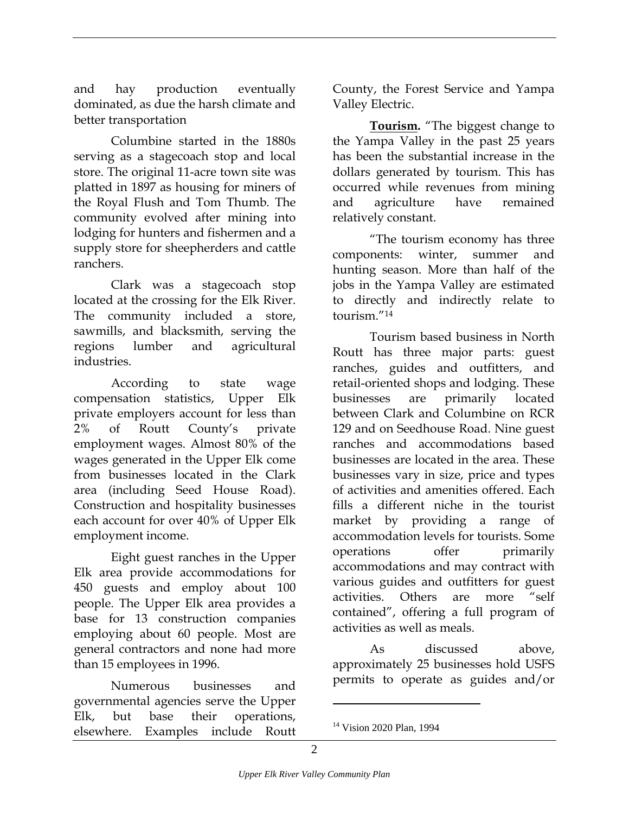and hay production eventually dominated, as due the harsh climate and better transportation

Columbine started in the 1880s serving as a stagecoach stop and local store. The original 11-acre town site was platted in 1897 as housing for miners of the Royal Flush and Tom Thumb. The community evolved after mining into lodging for hunters and fishermen and a supply store for sheepherders and cattle ranchers.

Clark was a stagecoach stop located at the crossing for the Elk River. The community included a store, sawmills, and blacksmith, serving the regions lumber and agricultural industries.

According to state wage compensation statistics, Upper Elk private employers account for less than 2% of Routt County's private employment wages. Almost 80% of the wages generated in the Upper Elk come from businesses located in the Clark area (including Seed House Road). Construction and hospitality businesses each account for over 40% of Upper Elk employment income.

Eight guest ranches in the Upper Elk area provide accommodations for 450 guests and employ about 100 people. The Upper Elk area provides a base for 13 construction companies employing about 60 people. Most are general contractors and none had more than 15 employees in 1996.

Numerous businesses and governmental agencies serve the Upper Elk, but base their operations, elsewhere. Examples include Routt County, the Forest Service and Yampa Valley Electric.

**Tourism.** "The biggest change to the Yampa Valley in the past 25 years has been the substantial increase in the dollars generated by tourism. This has occurred while revenues from mining and agriculture have remained relatively constant.

"The tourism economy has three components: winter, summer and hunting season. More than half of the jobs in the Yampa Valley are estimated to directly and indirectly relate to tourism."[14](#page-31-0)

Tourism based business in North Routt has three major parts: guest ranches, guides and outfitters, and retail-oriented shops and lodging. These businesses are primarily located between Clark and Columbine on RCR 129 and on Seedhouse Road. Nine guest ranches and accommodations based businesses are located in the area. These businesses vary in size, price and types of activities and amenities offered. Each fills a different niche in the tourist market by providing a range of accommodation levels for tourists. Some operations offer primarily accommodations and may contract with various guides and outfitters for guest activities. Others are more "self contained", offering a full program of activities as well as meals.

As discussed above, approximately 25 businesses hold USFS permits to operate as guides and/or

 $\overline{a}$ 

<span id="page-31-0"></span><sup>&</sup>lt;sup>14</sup> Vision 2020 Plan, 1994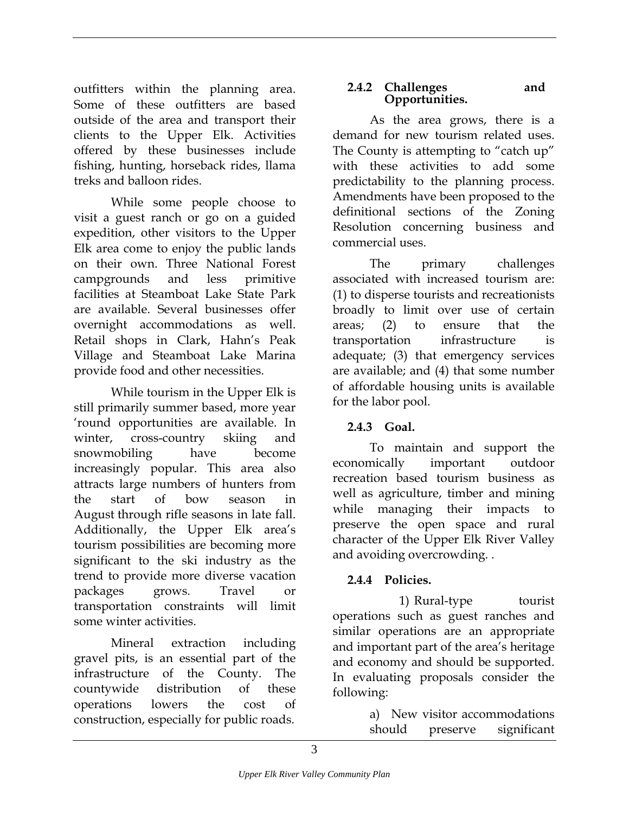<span id="page-32-0"></span>outfitters within the planning area. **2.4.2 Challenges**<br>Some of these outfitters are based **Opportunities.** Some of these outfitters are based outside of the area and transport their clients to the Upper Elk. Activities offered by these businesses include fishing, hunting, horseback rides, llama treks and balloon rides.

While some people choose to visit a guest ranch or go on a guided expedition, other visitors to the Upper Elk area come to enjoy the public lands on their own. Three National Forest campgrounds and less primitive facilities at Steamboat Lake State Park are available. Several businesses offer overnight accommodations as well. Retail shops in Clark, Hahn's Peak Village and Steamboat Lake Marina provide food and other necessities.

While tourism in the Upper Elk is still primarily summer based, more year 'round opportunities are available. In winter, cross-country skiing and snowmobiling have become increasingly popular. This area also attracts large numbers of hunters from the start of bow season in August through rifle seasons in late fall. Additionally, the Upper Elk area's tourism possibilities are becoming more significant to the ski industry as the trend to provide more diverse vacation packages grows. Travel or transportation constraints will limit some winter activities.

Mineral extraction including gravel pits, is an essential part of the infrastructure of the County. The countywide distribution of these operations lowers the cost of

## **2.4.2 Challenges and**

As the area grows, there is a demand for new tourism related uses. The County is attempting to "catch up" with these activities to add some predictability to the planning process. Amendments have been proposed to the definitional sections of the Zoning Resolution concerning business and commercial uses.

The primary challenges associated with increased tourism are: (1) to disperse tourists and recreationists broadly to limit over use of certain areas; (2) to ensure that the transportation infrastructure is adequate; (3) that emergency services are available; and (4) that some number of affordable housing units is available for the labor pool.

#### **2.4.3 Goal.**

To maintain and support the economically important outdoor recreation based tourism business as well as agriculture, timber and mining while managing their impacts to preserve the open space and rural character of the Upper Elk River Valley and avoiding overcrowding. .

#### **2.4.4 Policies.**

1) Rural-type tourist operations such as guest ranches and similar operations are an appropriate and important part of the area's heritage and economy and should be supported. In evaluating proposals consider the following:

construction, especially for public roads. a) New visitor accommodations should preserve significant significant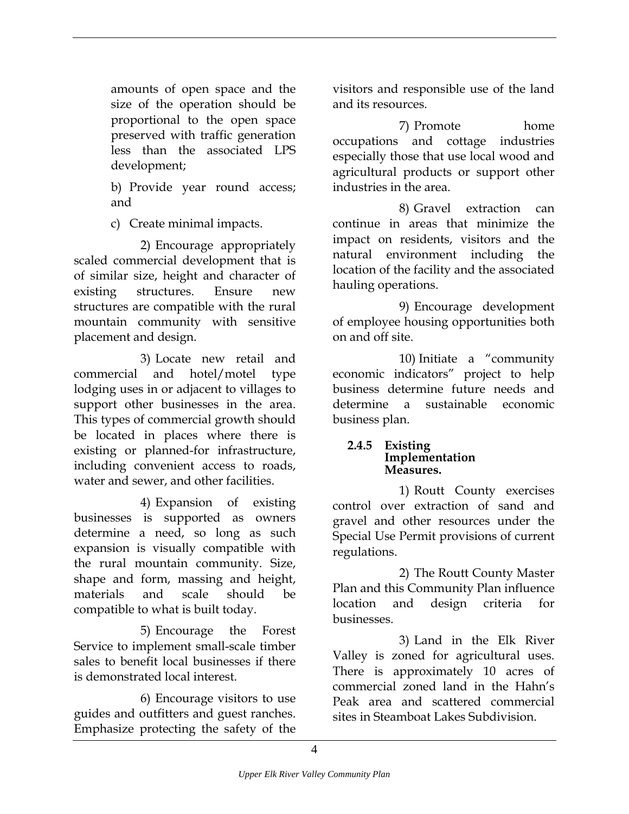<span id="page-33-0"></span>amounts of open space and the size of the operation should be proportional to the open space preserved with traffic generation less than the associated LPS development;

b) Provide year round access; and

c) Create minimal impacts.

2) Encourage appropriately scaled commercial development that is of similar size, height and character of existing structures. Ensure new structures are compatible with the rural mountain community with sensitive placement and design.

3) Locate new retail and commercial and hotel/motel type lodging uses in or adjacent to villages to support other businesses in the area. This types of commercial growth should be located in places where there is existing or planned-for infrastructure, including convenient access to roads, water and sewer, and other facilities.

4) Expansion of existing businesses is supported as owners determine a need, so long as such expansion is visually compatible with the rural mountain community. Size, shape and form, massing and height, materials and scale should be compatible to what is built today.

5) Encourage the Forest Service to implement small-scale timber sales to benefit local businesses if there is demonstrated local interest.

6) Encourage visitors to use guides and outfitters and guest ranches. Emphasize protecting the safety of the visitors and responsible use of the land and its resources.

7) Promote home occupations and cottage industries especially those that use local wood and agricultural products or support other industries in the area.

8) Gravel extraction can continue in areas that minimize the impact on residents, visitors and the natural environment including the location of the facility and the associated hauling operations.

9) Encourage development of employee housing opportunities both on and off site.

10) Initiate a "community economic indicators" project to help business determine future needs and determine a sustainable economic business plan.

#### **2.4.5 Existing Implementation Measures.**

1) Routt County exercises control over extraction of sand and gravel and other resources under the Special Use Permit provisions of current regulations.

2) The Routt County Master Plan and this Community Plan influence location and design criteria for businesses.

3) Land in the Elk River Valley is zoned for agricultural uses. There is approximately 10 acres of commercial zoned land in the Hahn's Peak area and scattered commercial sites in Steamboat Lakes Subdivision.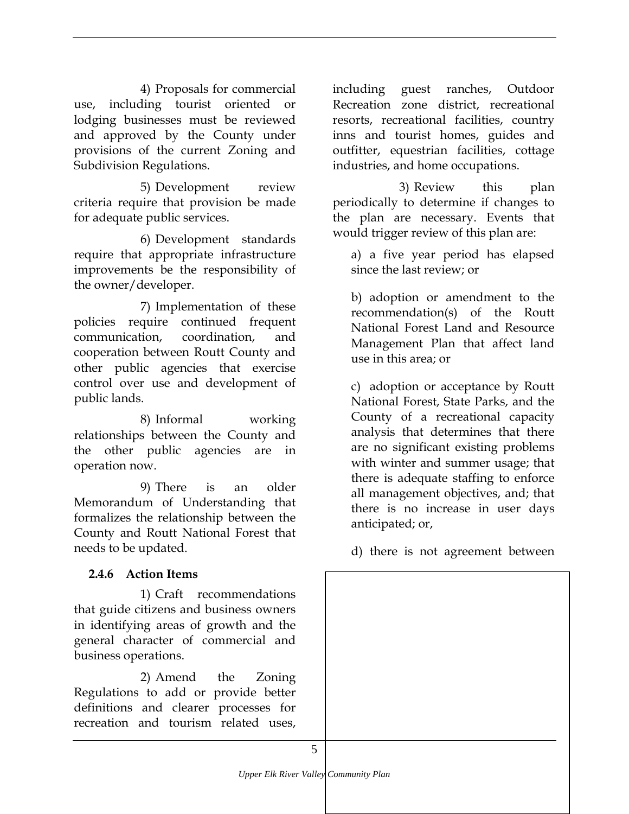<span id="page-34-0"></span>4) Proposals for commercial use, including tourist oriented or lodging businesses must be reviewed and approved by the County under provisions of the current Zoning and Subdivision Regulations.

5) Development review criteria require that provision be made for adequate public services.

6) Development standards require that appropriate infrastructure improvements be the responsibility of the owner/developer.

7) Implementation of these policies require continued frequent communication, coordination, and cooperation between Routt County and other public agencies that exercise control over use and development of public lands.

8) Informal working relationships between the County and the other public agencies are in operation now.

9) There is an older Memorandum of Understanding that formalizes the relationship between the County and Routt National Forest that needs to be updated.

#### **2.4.6 Action Items**

1) Craft recommendations that guide citizens and business owners in identifying areas of growth and the general character of commercial and business operations.

2) Amend the Zoning Regulations to add or provide better definitions and clearer processes for recreation and tourism related uses,

including guest ranches, Outdoor Recreation zone district, recreational resorts, recreational facilities, country inns and tourist homes, guides and outfitter, equestrian facilities, cottage industries, and home occupations.

3) Review this plan periodically to determine if changes to the plan are necessary. Events that would trigger review of this plan are:

a) a five year period has elapsed since the last review; or

b) adoption or amendment to the recommendation(s) of the Routt National Forest Land and Resource Management Plan that affect land use in this area; or

c) adoption or acceptance by Routt National Forest, State Parks, and the County of a recreational capacity analysis that determines that there are no significant existing problems with winter and summer usage; that there is adequate staffing to enforce all management objectives, and; that there is no increase in user days anticipated; or,

d) there is not agreement between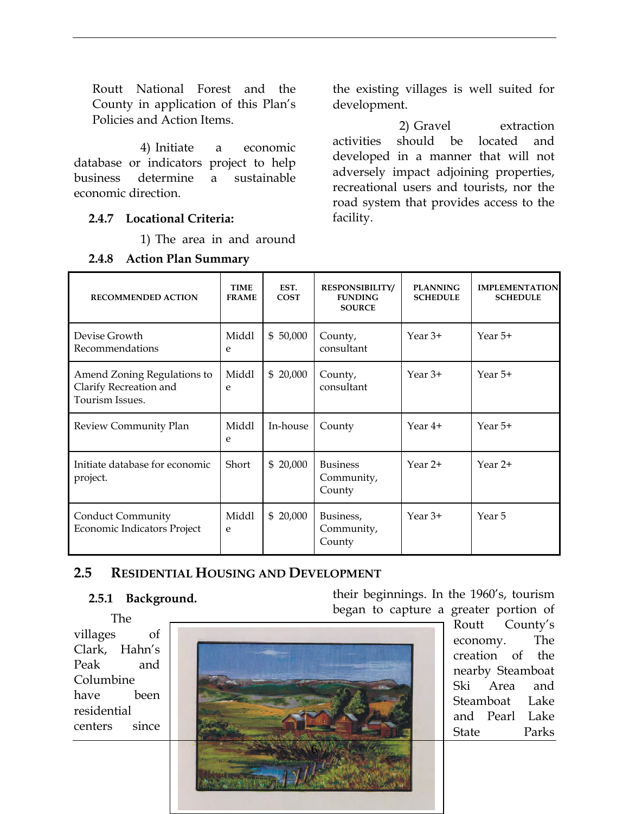<span id="page-35-0"></span>Routt National Forest and the County in application of this Plan's Policies and Action Items.

4) Initiate a economic database or indicators project to help business determine a sustainable economic direction.

#### **2.4.7 Locational Criteria:**

1) The area in and around

#### **2.4.8 Action Plan Summary**

the existing villages is well suited for development.

2) Gravel extraction activities should be located and developed in a manner that will not adversely impact adjoining properties, recreational users and tourists, nor the road system that provides access to the facility.

| <b>RECOMMENDED ACTION</b>                                                | <b>TIME</b><br><b>FRAME</b> | EST.<br><b>COST</b> | <b>RESPONSIBILITY/</b><br><b>FUNDING</b><br><b>SOURCE</b> | <b>PLANNING</b><br><b>SCHEDULE</b> | <b>IMPLEMENTATION</b><br><b>SCHEDULE</b> |
|--------------------------------------------------------------------------|-----------------------------|---------------------|-----------------------------------------------------------|------------------------------------|------------------------------------------|
| Devise Growth<br>Recommendations                                         | Middl<br>e                  | \$50,000            | County,<br>consultant                                     | Year $3+$                          | Year 5+                                  |
| Amend Zoning Regulations to<br>Clarify Recreation and<br>Tourism Issues. | Middl<br>e                  | \$20,000            | County,<br>consultant                                     | Year $3+$                          | Year 5+                                  |
| Review Community Plan                                                    | Middl<br>e                  | In-house            | County                                                    | Year 4+                            | Year 5+                                  |
| Initiate database for economic<br>project.                               | Short                       | \$20,000            | <b>Business</b><br>Community,<br>County                   | Year 2+                            | Year 2+                                  |
| <b>Conduct Community</b><br>Economic Indicators Project                  | Middl<br>e                  | \$20,000            | Business,<br>Community,<br>County                         | Year $3+$                          | Year 5                                   |

#### **2.5 RESIDENTIAL HOUSING AND DEVELOPMENT**

#### **2.5.1 Background.**

The villages of Clark, Hahn's Peak and Columbine have been residential centers since



their beginnings. In the 1960's, tourism began to capture a greater portion of

> Routt County's economy. The creation of the nearby Steamboat Ski Area and Steamboat Lake and Pearl Lake State Parks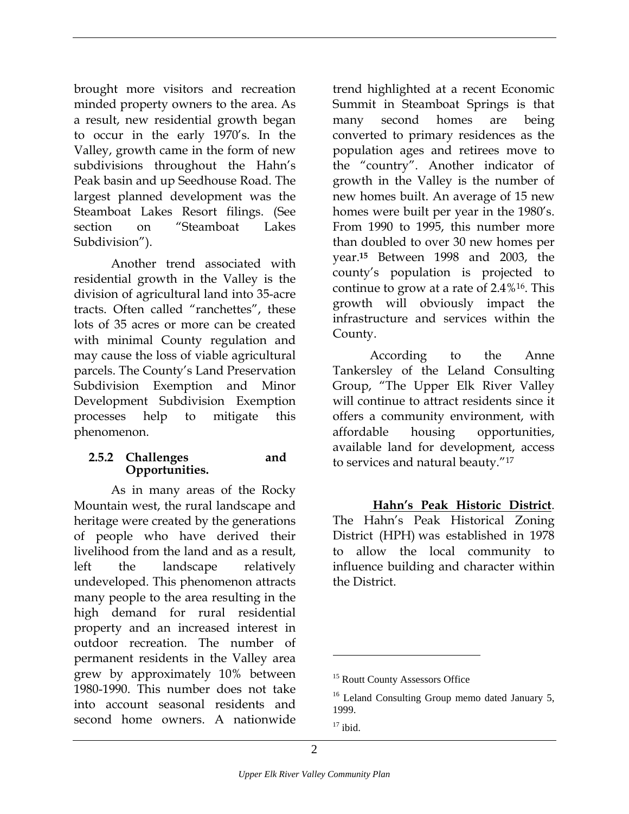<span id="page-36-0"></span>brought more visitors and recreation minded property owners to the area. As a result, new residential growth began to occur in the early 1970's. In the Valley, growth came in the form of new subdivisions throughout the Hahn's Peak basin and up Seedhouse Road. The largest planned development was the Steamboat Lakes Resort filings. (See section on "Steamboat Lakes Subdivision").

Another trend associated with residential growth in the Valley is the division of agricultural land into 35-acre tracts. Often called "ranchettes", these lots of 35 acres or more can be created with minimal County regulation and may cause the loss of viable agricultural parcels. The County's Land Preservation Subdivision Exemption and Minor Development Subdivision Exemption processes help to mitigate this phenomenon.

#### **2.5.2 Challenges and Opportunities.**

As in many areas of the Rocky Mountain west, the rural landscape and heritage were created by the generations of people who have derived their livelihood from the land and as a result, left the landscape relatively undeveloped. This phenomenon attracts many people to the area resulting in the high demand for rural residential property and an increased interest in outdoor recreation. The number of permanent residents in the Valley area grew by approximately 10% between 1980-1990. This number does not take into account seasonal residents and second home owners. A nationwide

trend highlighted at a recent Economic Summit in Steamboat Springs is that many second homes are being converted to primary residences as the population ages and retirees move to the "country". Another indicator of growth in the Valley is the number of new homes built. An average of 15 new homes were built per year in the 1980's. From 1990 to 1995, this number more than doubled to over 30 new homes per year.**[15](#page-36-1)** Between 1998 and 2003, the county's population is projected to continue to grow at a rate of 2.4%[16.](#page-36-2) This growth will obviously impact the infrastructure and services within the County.

According to the Anne Tankersley of the Leland Consulting Group, "The Upper Elk River Valley will continue to attract residents since it offers a community environment, with affordable housing opportunities, available land for development, access to services and natural beauty.["17](#page-36-3)

 **Hahn's Peak Historic District**. The Hahn's Peak Historical Zoning District (HPH) was established in 1978 to allow the local community to influence building and character within the District.

<u>.</u>

<span id="page-36-1"></span><sup>&</sup>lt;sup>15</sup> Routt County Assessors Office

<span id="page-36-2"></span><sup>&</sup>lt;sup>16</sup> Leland Consulting Group memo dated January 5, 1999.

<span id="page-36-3"></span> $17$  ibid.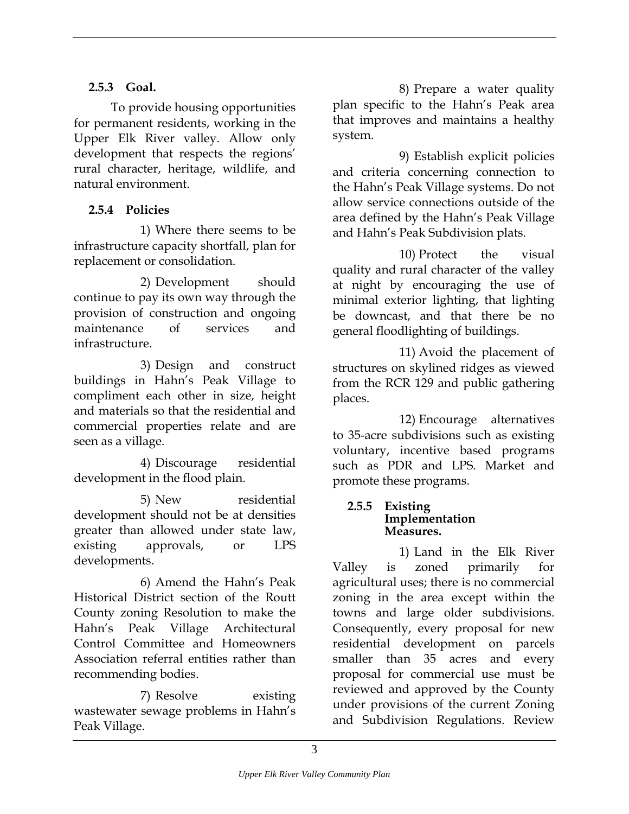To provide housing opportunities for permanent residents, working in the Upper Elk River valley. Allow only development that respects the regions' rural character, heritage, wildlife, and natural environment.

#### **2.5.4 Policies**

1) Where there seems to be infrastructure capacity shortfall, plan for replacement or consolidation. 10) Protect the visual replacement or consolidation.

2) Development should continue to pay its own way through the provision of construction and ongoing maintenance of services and

3) Design and construct buildings in Hahn's Peak Village to compliment each other in size, height and materials so that the residential and commercial properties relate and are seen as a village.

4) Discourage residential development in the flood plain.

5) New residential development should not be at densities greater than allowed under state law, existing approvals, or LPS developments.

6) Amend the Hahn's Peak Historical District section of the Routt County zoning Resolution to make the Hahn's Peak Village Architectural Control Committee and Homeowners Association referral entities rather than recommending bodies.

7) Resolve existing wastewater sewage problems in Hahn's Peak Village.

<span id="page-37-0"></span>**2.5.3 Goal. 8**) Prepare a water quality plan specific to the Hahn's Peak area that improves and maintains a healthy system.

> 9) Establish explicit policies and criteria concerning connection to the Hahn's Peak Village systems. Do not allow service connections outside of the area defined by the Hahn's Peak Village and Hahn's Peak Subdivision plats.

> quality and rural character of the valley at night by encouraging the use of minimal exterior lighting, that lighting be downcast, and that there be no general floodlighting of buildings.

infrastructure. 11) Avoid the placement of structures on skylined ridges as viewed from the RCR 129 and public gathering places.

> 12) Encourage alternatives to 35-acre subdivisions such as existing voluntary, incentive based programs such as PDR and LPS. Market and promote these programs.

#### **2.5.5 Existing Implementation Measures.**

1) Land in the Elk River Valley is zoned primarily for agricultural uses; there is no commercial zoning in the area except within the towns and large older subdivisions. Consequently, every proposal for new residential development on parcels smaller than 35 acres and every proposal for commercial use must be reviewed and approved by the County under provisions of the current Zoning and Subdivision Regulations. Review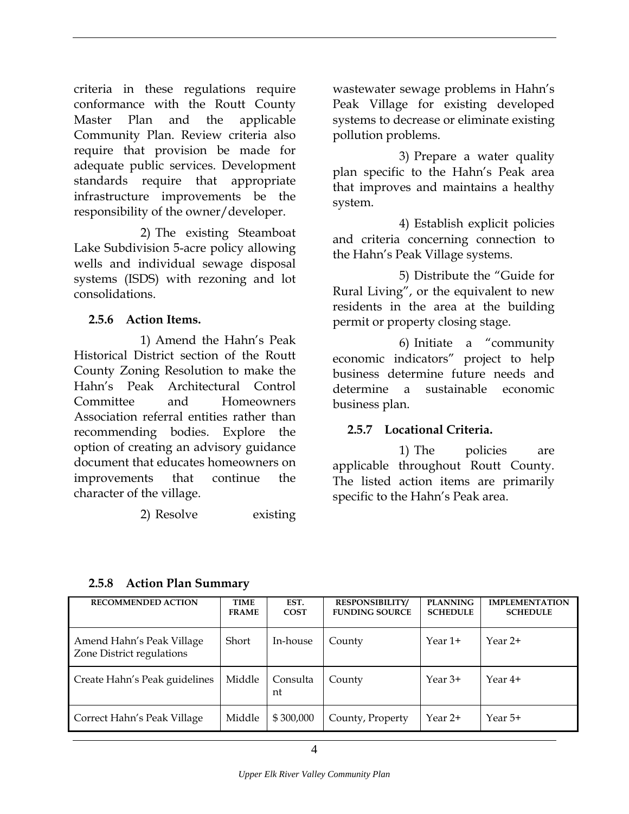<span id="page-38-0"></span>criteria in these regulations require conformance with the Routt County Master Plan and the applicable Community Plan. Review criteria also require that provision be made for adequate public services. Development standards require that appropriate infrastructure improvements be the responsibility of the owner/developer.

2) The existing Steamboat Lake Subdivision 5-acre policy allowing wells and individual sewage disposal systems (ISDS) with rezoning and lot consolidations.

#### **2.5.6 Action Items.**

1) Amend the Hahn's Peak Historical District section of the Routt County Zoning Resolution to make the Hahn's Peak Architectural Control Committee and Homeowners Association referral entities rather than recommending bodies. Explore the option of creating an advisory guidance document that educates homeowners on improvements that continue the character of the village.

2) Resolve existing

wastewater sewage problems in Hahn's Peak Village for existing developed systems to decrease or eliminate existing pollution problems.

3) Prepare a water quality plan specific to the Hahn's Peak area that improves and maintains a healthy system.

4) Establish explicit policies and criteria concerning connection to the Hahn's Peak Village systems.

5) Distribute the "Guide for Rural Living", or the equivalent to new residents in the area at the building permit or property closing stage.

6) Initiate a "community economic indicators" project to help business determine future needs and determine a sustainable economic business plan.

#### **2.5.7 Locational Criteria.**

1) The policies are applicable throughout Routt County. The listed action items are primarily specific to the Hahn's Peak area.

| <b>RECOMMENDED ACTION</b>                              | <b>TIME</b><br><b>FRAME</b> | EST.<br><b>COST</b> | <b>RESPONSIBILITY/</b><br><b>FUNDING SOURCE</b> | <b>PLANNING</b><br><b>SCHEDULE</b> | <b>IMPLEMENTATION</b><br><b>SCHEDULE</b> |
|--------------------------------------------------------|-----------------------------|---------------------|-------------------------------------------------|------------------------------------|------------------------------------------|
| Amend Hahn's Peak Village<br>Zone District regulations | Short                       | In-house            | County                                          | Year 1+                            | Year $2+$                                |
| Create Hahn's Peak guidelines                          | Middle                      | Consulta<br>nt      | County                                          | Year $3+$                          | Year 4+                                  |
| Correct Hahn's Peak Village                            | Middle                      | \$300,000           | County, Property                                | Year 2+                            | Year 5+                                  |

#### **2.5.8 Action Plan Summary**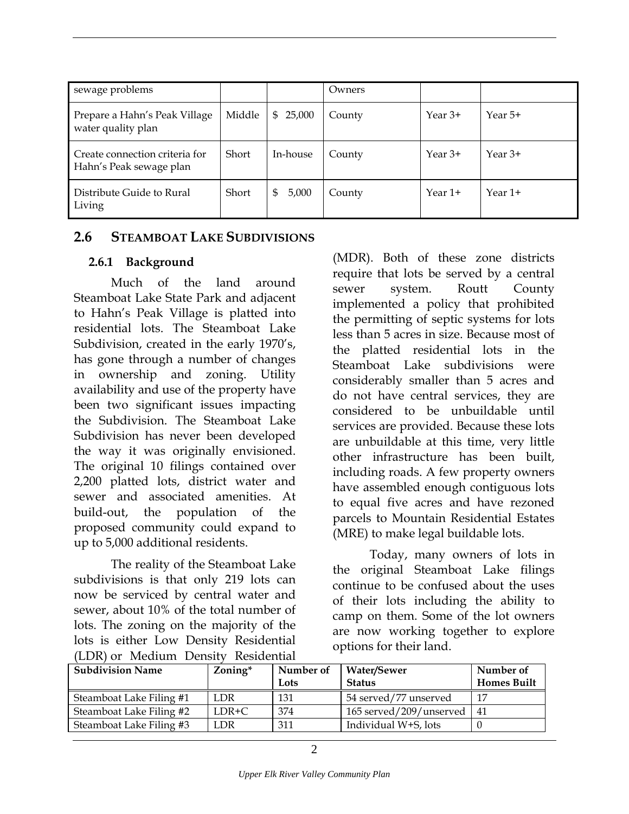<span id="page-39-0"></span>

| sewage problems                                           |        |              | Owners |           |           |
|-----------------------------------------------------------|--------|--------------|--------|-----------|-----------|
| Prepare a Hahn's Peak Village<br>water quality plan       | Middle | 25,000<br>\$ | County | Year $3+$ | Year 5+   |
| Create connection criteria for<br>Hahn's Peak sewage plan | Short  | In-house     | County | Year $3+$ | Year $3+$ |
| Distribute Guide to Rural<br>Living                       | Short  | 5,000<br>\$  | County | Year $1+$ | Year 1+   |

#### **2.6 STEAMBOAT LAKE SUBDIVISIONS**

#### **2.6.1 Background**

Much of the land around Steamboat Lake State Park and adjacent to Hahn's Peak Village is platted into residential lots. The Steamboat Lake Subdivision, created in the early 1970's, has gone through a number of changes in ownership and zoning. Utility availability and use of the property have been two significant issues impacting the Subdivision. The Steamboat Lake Subdivision has never been developed the way it was originally envisioned. The original 10 filings contained over 2,200 platted lots, district water and sewer and associated amenities. At build-out, the population of the proposed community could expand to up to 5,000 additional residents.

The reality of the Steamboat Lake subdivisions is that only 219 lots can now be serviced by central water and sewer, about 10% of the total number of lots. The zoning on the majority of the lots is either Low Density Residential (LDR) or Medium Density Residential

(MDR). Both of these zone districts require that lots be served by a central sewer system. Routt County implemented a policy that prohibited the permitting of septic systems for lots less than 5 acres in size. Because most of the platted residential lots in the Steamboat Lake subdivisions were considerably smaller than 5 acres and do not have central services, they are considered to be unbuildable until services are provided. Because these lots are unbuildable at this time, very little other infrastructure has been built, including roads. A few property owners have assembled enough contiguous lots to equal five acres and have rezoned parcels to Mountain Residential Estates (MRE) to make legal buildable lots.

Today, many owners of lots in the original Steamboat Lake filings continue to be confused about the uses of their lots including the ability to camp on them. Some of the lot owners are now working together to explore options for their land.

| <b>Subdivision Name</b>  | Zoning* | Number of<br>Water/Sewer |                         | Number of          |
|--------------------------|---------|--------------------------|-------------------------|--------------------|
|                          |         | Lots                     | <b>Status</b>           | <b>Homes Built</b> |
| Steamboat Lake Filing #1 | LDR     | 131                      | 54 served/77 unserved   | -17                |
| Steamboat Lake Filing #2 | $LDR+C$ | 374                      | 165 served/209/unserved | 41                 |
| Steamboat Lake Filing #3 | LDR     | 311                      | Individual W+S, lots    |                    |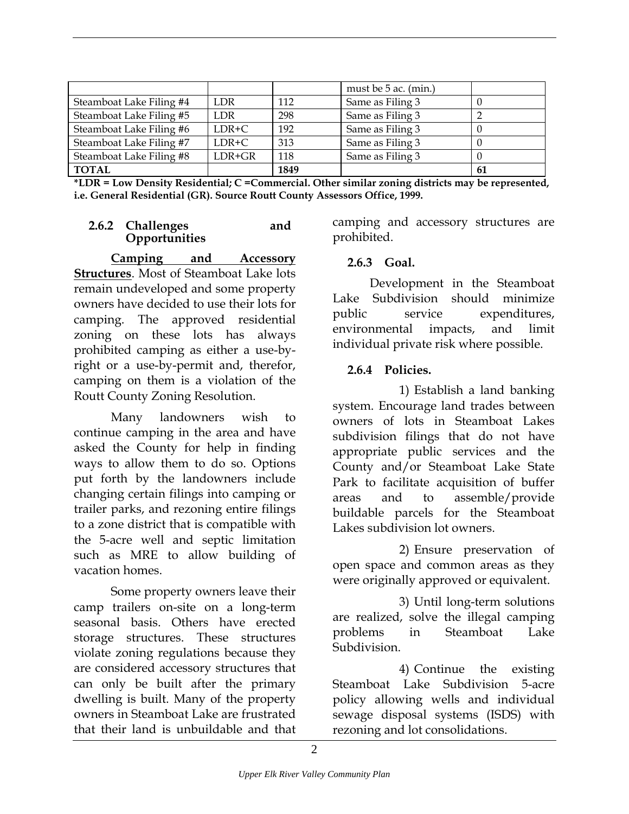<span id="page-40-0"></span>

|                          |            |      | must be 5 ac. (min.) |    |
|--------------------------|------------|------|----------------------|----|
| Steamboat Lake Filing #4 | LDR        | 112  | Same as Filing 3     | U  |
| Steamboat Lake Filing #5 | <b>LDR</b> | 298  | Same as Filing 3     |    |
| Steamboat Lake Filing #6 | LDR+C      | 192  | Same as Filing 3     | U  |
| Steamboat Lake Filing #7 | $LDR+C$    | 313  | Same as Filing 3     |    |
| Steamboat Lake Filing #8 | LDR+GR     | 118  | Same as Filing 3     |    |
| <b>TOTAL</b>             |            | 1849 |                      | 61 |

| *LDR = Low Density Residential; C = Commercial. Other similar zoning districts may be represented, |  |  |  |
|----------------------------------------------------------------------------------------------------|--|--|--|
| i.e. General Residential (GR). Source Routt County Assessors Office, 1999.                         |  |  |  |

#### **2.6.2 Challenges and Opportunities**

**Camping and Accessory Structures**. Most of Steamboat Lake lots remain undeveloped and some property owners have decided to use their lots for camping. The approved residential zoning on these lots has always prohibited camping as either a use-byright or a use-by-permit and, therefor, camping on them is a violation of the Routt County Zoning Resolution.

Many landowners wish to continue camping in the area and have asked the County for help in finding ways to allow them to do so. Options put forth by the landowners include changing certain filings into camping or trailer parks, and rezoning entire filings to a zone district that is compatible with the 5-acre well and septic limitation such as MRE to allow building of vacation homes.

Some property owners leave their camp trailers on-site on a long-term seasonal basis. Others have erected storage structures. These structures violate zoning regulations because they are considered accessory structures that can only be built after the primary dwelling is built. Many of the property owners in Steamboat Lake are frustrated that their land is unbuildable and that

camping and accessory structures are prohibited.

#### **2.6.3 Goal.**

Development in the Steamboat Lake Subdivision should minimize public service expenditures, environmental impacts, and limit individual private risk where possible.

#### **2.6.4 Policies.**

1) Establish a land banking system. Encourage land trades between owners of lots in Steamboat Lakes subdivision filings that do not have appropriate public services and the County and/or Steamboat Lake State Park to facilitate acquisition of buffer areas and to assemble/provide buildable parcels for the Steamboat Lakes subdivision lot owners.

2) Ensure preservation of open space and common areas as they were originally approved or equivalent.

3) Until long-term solutions are realized, solve the illegal camping problems in Steamboat Lake Subdivision.

4) Continue the existing Steamboat Lake Subdivision 5-acre policy allowing wells and individual sewage disposal systems (ISDS) with rezoning and lot consolidations.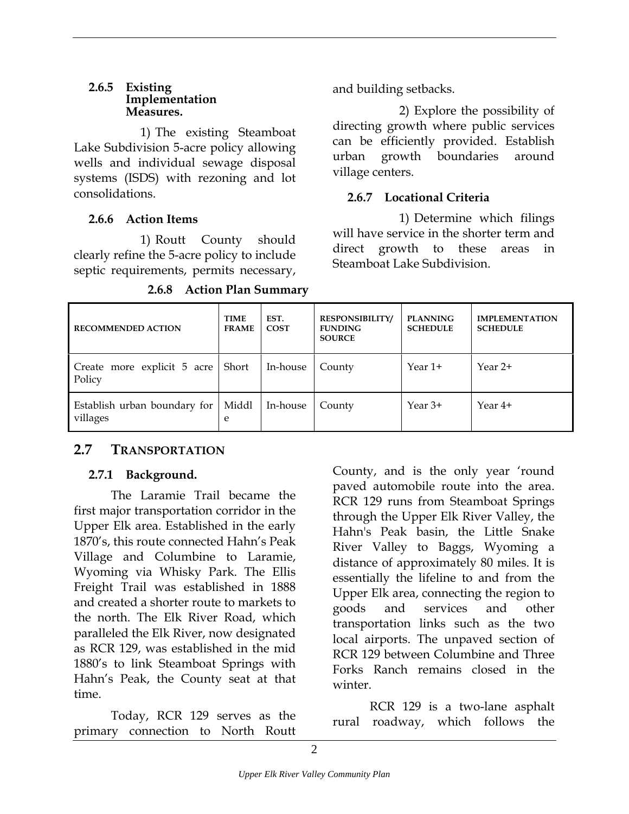#### <span id="page-41-0"></span>**2.6.5 Existing Implementation Measures.**

1) The existing Steamboat Lake Subdivision 5-acre policy allowing wells and individual sewage disposal systems (ISDS) with rezoning and lot consolidations.

#### **2.6.6 Action Items**

1) Routt County should clearly refine the 5-acre policy to include septic requirements, permits necessary,

| 2.6.8 |  |  | <b>J</b> Action Plan Summary |
|-------|--|--|------------------------------|
|-------|--|--|------------------------------|

and building setbacks.

2) Explore the possibility of directing growth where public services can be efficiently provided. Establish urban growth boundaries around village centers.

#### **2.6.7 Locational Criteria**

1) Determine which filings will have service in the shorter term and direct growth to these areas in Steamboat Lake Subdivision.

| <b>RECOMMENDED ACTION</b>                | <b>TIME</b><br><b>FRAME</b> | EST.<br><b>COST</b> | <b>RESPONSIBILITY/</b><br><b>FUNDING</b><br><b>SOURCE</b> | <b>PLANNING</b><br><b>SCHEDULE</b> | <b>IMPLEMENTATION</b><br><b>SCHEDULE</b> |
|------------------------------------------|-----------------------------|---------------------|-----------------------------------------------------------|------------------------------------|------------------------------------------|
| Create more explicit 5 acre<br>Policy    | Short                       | In-house            | County                                                    | Year 1+                            | Year 2+                                  |
| Establish urban boundary for<br>villages | Middl<br>e                  | In-house            | County                                                    | Year $3+$                          | Year 4+                                  |

#### **2.7 TRANSPORTATION**

#### **2.7.1 Background.**

The Laramie Trail became the first major transportation corridor in the Upper Elk area. Established in the early 1870's, this route connected Hahn's Peak Village and Columbine to Laramie, Wyoming via Whisky Park. The Ellis Freight Trail was established in 1888 and created a shorter route to markets to the north. The Elk River Road, which paralleled the Elk River, now designated as RCR 129, was established in the mid 1880's to link Steamboat Springs with Hahn's Peak, the County seat at that time.

Today, RCR 129 serves as the primary connection to North Routt

County, and is the only year 'round paved automobile route into the area. RCR 129 runs from Steamboat Springs through the Upper Elk River Valley, the Hahn's Peak basin, the Little Snake River Valley to Baggs, Wyoming a distance of approximately 80 miles. It is essentially the lifeline to and from the Upper Elk area, connecting the region to goods and services and other transportation links such as the two local airports. The unpaved section of RCR 129 between Columbine and Three Forks Ranch remains closed in the winter.

RCR 129 is a two-lane asphalt rural roadway, which follows the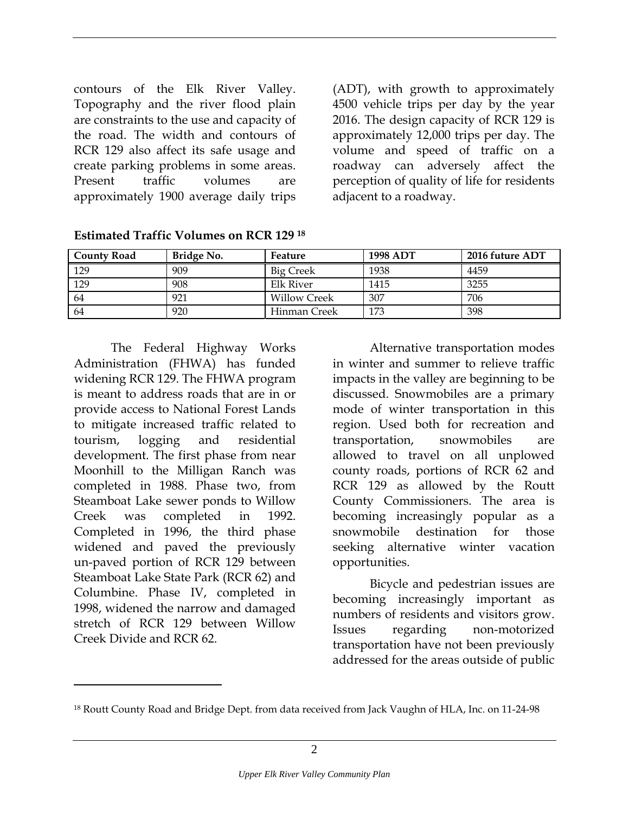contours of the Elk River Valley. Topography and the river flood plain are constraints to the use and capacity of the road. The width and contours of RCR 129 also affect its safe usage and create parking problems in some areas. Present traffic volumes are approximately 1900 average daily trips

(ADT), with growth to approximately 4500 vehicle trips per day by the year 2016. The design capacity of RCR 129 is approximately 12,000 trips per day. The volume and speed of traffic on a roadway can adversely affect the perception of quality of life for residents adjacent to a roadway.

| <b>County Road</b> | Bridge No. | Feature             | <b>1998 ADT</b> | 2016 future ADT |
|--------------------|------------|---------------------|-----------------|-----------------|
| 129                | 909        | <b>Big Creek</b>    | 1938            | 4459            |
| 129                | 908        | Elk River           | 1415            | 3255            |
| 64                 | 921        | <b>Willow Creek</b> | 307             | 706             |
| 64                 | 920        | Hinman Creek        | 173             | 398             |

**Estimated Traffic Volumes on RCR 129 [18](#page-42-0)**

The Federal Highway Works Administration (FHWA) has funded widening RCR 129. The FHWA program is meant to address roads that are in or provide access to National Forest Lands to mitigate increased traffic related to tourism, logging and residential development. The first phase from near Moonhill to the Milligan Ranch was completed in 1988. Phase two, from Steamboat Lake sewer ponds to Willow Creek was completed in 1992. Completed in 1996, the third phase widened and paved the previously un-paved portion of RCR 129 between Steamboat Lake State Park (RCR 62) and Columbine. Phase IV, completed in 1998, widened the narrow and damaged stretch of RCR 129 between Willow Creek Divide and RCR 62.

 $\overline{a}$ 

Alternative transportation modes in winter and summer to relieve traffic impacts in the valley are beginning to be discussed. Snowmobiles are a primary mode of winter transportation in this region. Used both for recreation and transportation, snowmobiles are allowed to travel on all unplowed county roads, portions of RCR 62 and RCR 129 as allowed by the Routt County Commissioners. The area is becoming increasingly popular as a snowmobile destination for those seeking alternative winter vacation opportunities.

Bicycle and pedestrian issues are becoming increasingly important as numbers of residents and visitors grow. Issues regarding non-motorized transportation have not been previously addressed for the areas outside of public

<span id="page-42-0"></span><sup>18</sup> Routt County Road and Bridge Dept. from data received from Jack Vaughn of HLA, Inc. on 11-24-98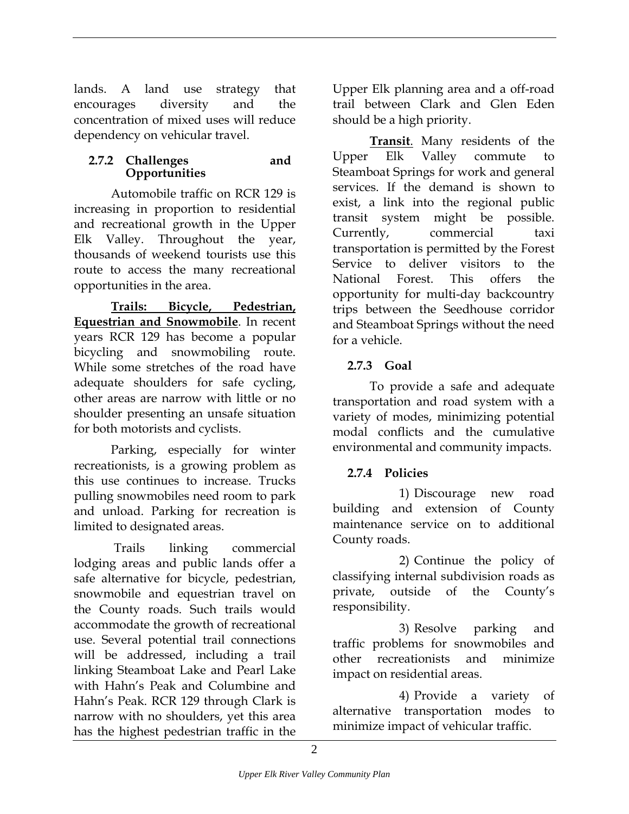<span id="page-43-0"></span>lands. A land use strategy that encourages diversity and the concentration of mixed uses will reduce dependency on vehicular travel.

#### **2.7.2 Challenges and Opportunities**

Automobile traffic on RCR 129 is increasing in proportion to residential and recreational growth in the Upper Elk Valley. Throughout the year, thousands of weekend tourists use this route to access the many recreational opportunities in the area.

**Trails: Bicycle, Pedestrian, Equestrian and Snowmobile**. In recent years RCR 129 has become a popular bicycling and snowmobiling route. While some stretches of the road have adequate shoulders for safe cycling, other areas are narrow with little or no shoulder presenting an unsafe situation for both motorists and cyclists.

Parking, especially for winter recreationists, is a growing problem as this use continues to increase. Trucks pulling snowmobiles need room to park and unload. Parking for recreation is limited to designated areas.

 Trails linking commercial lodging areas and public lands offer a safe alternative for bicycle, pedestrian, snowmobile and equestrian travel on the County roads. Such trails would accommodate the growth of recreational use. Several potential trail connections will be addressed, including a trail linking Steamboat Lake and Pearl Lake with Hahn's Peak and Columbine and Hahn's Peak. RCR 129 through Clark is narrow with no shoulders, yet this area has the highest pedestrian traffic in the

Upper Elk planning area and a off-road trail between Clark and Glen Eden should be a high priority.

**Transit**. Many residents of the Upper Elk Valley commute to Steamboat Springs for work and general services. If the demand is shown to exist, a link into the regional public transit system might be possible. Currently, commercial taxi transportation is permitted by the Forest Service to deliver visitors to the National Forest. This offers the opportunity for multi-day backcountry trips between the Seedhouse corridor and Steamboat Springs without the need for a vehicle.

#### **2.7.3 Goal**

To provide a safe and adequate transportation and road system with a variety of modes, minimizing potential modal conflicts and the cumulative environmental and community impacts.

#### **2.7.4 Policies**

1) Discourage new road building and extension of County maintenance service on to additional County roads.

2) Continue the policy of classifying internal subdivision roads as private, outside of the County's responsibility.

3) Resolve parking and traffic problems for snowmobiles and other recreationists and minimize impact on residential areas.

4) Provide a variety of alternative transportation modes to minimize impact of vehicular traffic.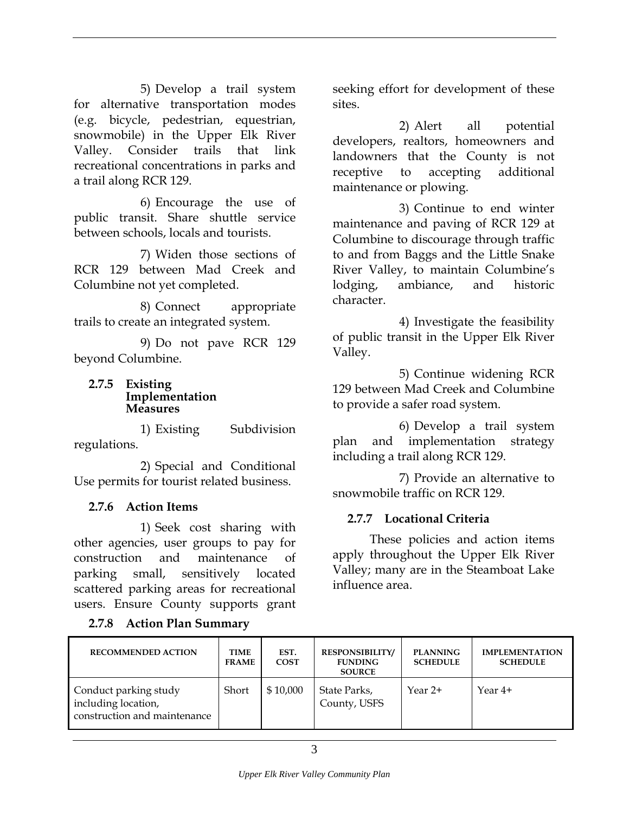<span id="page-44-0"></span>5) Develop a trail system for alternative transportation modes (e.g. bicycle, pedestrian, equestrian, snowmobile) in the Upper Elk River Valley. Consider trails that link recreational concentrations in parks and a trail along RCR 129.

6) Encourage the use of public transit. Share shuttle service between schools, locals and tourists.

7) Widen those sections of RCR 129 between Mad Creek and Columbine not yet completed.

8) Connect appropriate trails to create an integrated system.

9) Do not pave RCR 129 beyond Columbine.

#### **2.7.5 Existing Implementation Measures**

1) Existing Subdivision regulations.

2) Special and Conditional Use permits for tourist related business.

#### **2.7.6 Action Items**

1) Seek cost sharing with other agencies, user groups to pay for construction and maintenance of parking small, sensitively located scattered parking areas for recreational users. Ensure County supports grant

#### **2.7.8 Action Plan Summary**

seeking effort for development of these sites.

2) Alert all potential developers, realtors, homeowners and landowners that the County is not receptive to accepting additional maintenance or plowing.

3) Continue to end winter maintenance and paving of RCR 129 at Columbine to discourage through traffic to and from Baggs and the Little Snake River Valley, to maintain Columbine's lodging, ambiance, and historic character.

4) Investigate the feasibility of public transit in the Upper Elk River Valley.

5) Continue widening RCR 129 between Mad Creek and Columbine to provide a safer road system.

6) Develop a trail system plan and implementation strategy including a trail along RCR 129.

7) Provide an alternative to snowmobile traffic on RCR 129.

#### **2.7.7 Locational Criteria**

These policies and action items apply throughout the Upper Elk River Valley; many are in the Steamboat Lake influence area.

| <b>RECOMMENDED ACTION</b>                                                    | TIME<br><b>FRAME</b> | EST.<br><b>COST</b> | <b>RESPONSIBILITY/</b><br><b>FUNDING</b><br><b>SOURCE</b> | <b>PLANNING</b><br><b>SCHEDULE</b> | <b>IMPLEMENTATION</b><br><b>SCHEDULE</b> |
|------------------------------------------------------------------------------|----------------------|---------------------|-----------------------------------------------------------|------------------------------------|------------------------------------------|
| Conduct parking study<br>including location,<br>construction and maintenance | Short                | \$10,000            | State Parks,<br>County, USFS                              | Year 2+                            | Year $4+$                                |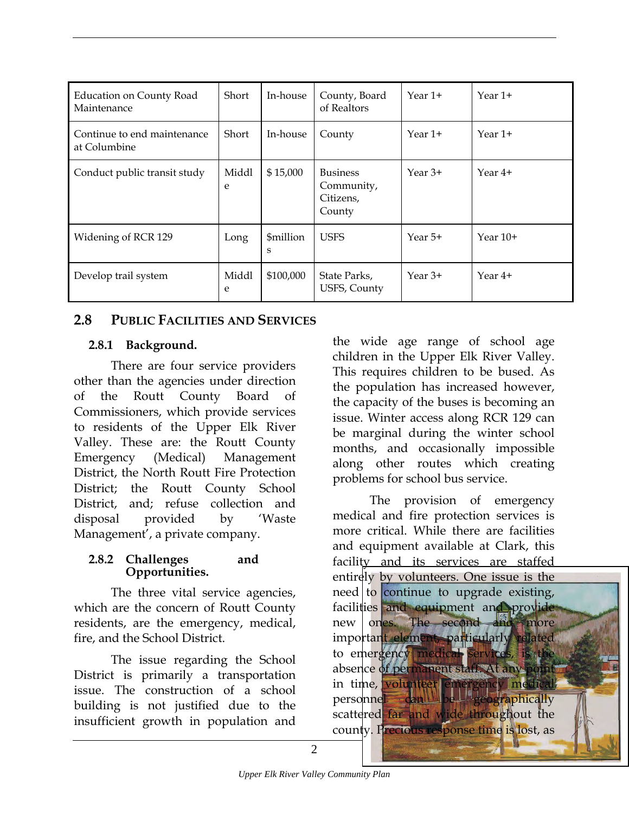<span id="page-45-0"></span>

| <b>Education on County Road</b><br>Maintenance | Short      | In-house       | County, Board<br>of Realtors                         | Year 1+   | Year 1+    |
|------------------------------------------------|------------|----------------|------------------------------------------------------|-----------|------------|
| Continue to end maintenance<br>at Columbine    | Short      | In-house       | County                                               | Year 1+   | Year 1+    |
| Conduct public transit study                   | Middl<br>e | \$15,000       | <b>Business</b><br>Community,<br>Citizens,<br>County | Year 3+   | Year 4+    |
| Widening of RCR 129                            | Long       | \$million<br>S | <b>USFS</b>                                          | Year 5+   | Year $10+$ |
| Develop trail system                           | Middl<br>e | \$100,000      | State Parks,<br>USFS, County                         | Year $3+$ | Year 4+    |

#### **2.8 PUBLIC FACILITIES AND SERVICES**

#### **2.8.1 Background.**

There are four service providers other than the agencies under direction of the Routt County Board of Commissioners, which provide services to residents of the Upper Elk River Valley. These are: the Routt County Emergency (Medical) Management District, the North Routt Fire Protection District; the Routt County School District, and; refuse collection and disposal provided by 'Waste Management', a private company.

#### **2.8.2 Challenges and Opportunities.**

The three vital service agencies, which are the concern of Routt County residents, are the emergency, medical, fire, and the School District.

The issue regarding the School District is primarily a transportation issue. The construction of a school building is not justified due to the insufficient growth in population and

the wide age range of school age children in the Upper Elk River Valley. This requires children to be bused. As the population has increased however, the capacity of the buses is becoming an issue. Winter access along RCR 129 can be marginal during the winter school months, and occasionally impossible along other routes which creating problems for school bus service.

The provision of emergency medical and fire protection services is more critical. While there are facilities and equipment available at Clark, this facility and its services are staffed entirely by volunteers. One issue is the need to continue to upgrade existing, facilities and equipment and provide new ones. The second and more important element, particularly related to emergency medical services, is the absence of permanent staff. At any point in time, volunteer emergency medical personnel can be geographically scattered far and wide throughout the county. Precious response time is lost, as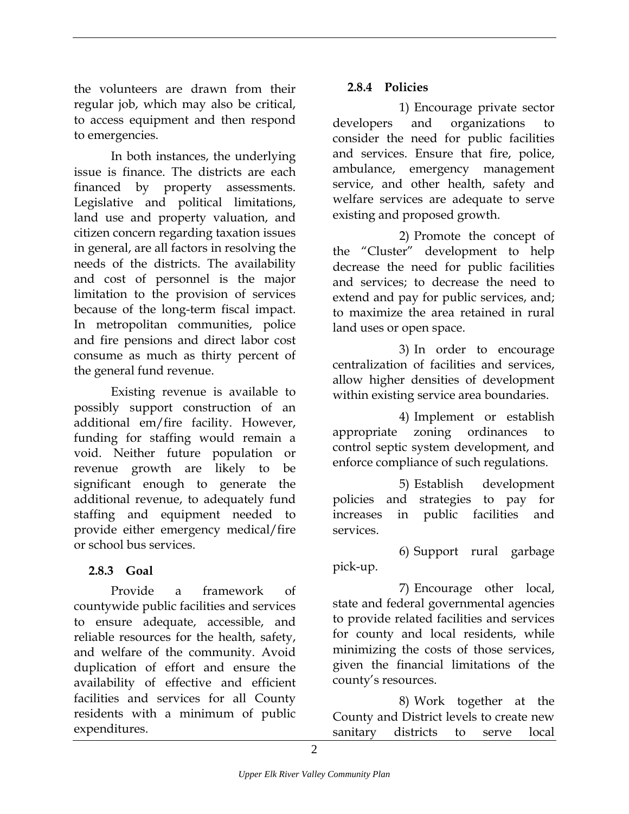<span id="page-46-0"></span>the volunteers are drawn from their regular job, which may also be critical, to access equipment and then respond to emergencies.

In both instances, the underlying issue is finance. The districts are each financed by property assessments. Legislative and political limitations, land use and property valuation, and citizen concern regarding taxation issues in general, are all factors in resolving the needs of the districts. The availability and cost of personnel is the major limitation to the provision of services because of the long-term fiscal impact. In metropolitan communities, police and fire pensions and direct labor cost consume as much as thirty percent of the general fund revenue.

Existing revenue is available to possibly support construction of an additional em/fire facility. However, funding for staffing would remain a void. Neither future population or revenue growth are likely to be significant enough to generate the additional revenue, to adequately fund staffing and equipment needed to provide either emergency medical/fire or school bus services.

#### **2.8.3 Goal**

Provide a framework of countywide public facilities and services to ensure adequate, accessible, and reliable resources for the health, safety, and welfare of the community. Avoid duplication of effort and ensure the availability of effective and efficient facilities and services for all County residents with a minimum of public expenditures.

#### **2.8.4 Policies**

1) Encourage private sector developers and organizations to consider the need for public facilities and services. Ensure that fire, police, ambulance, emergency management service, and other health, safety and welfare services are adequate to serve existing and proposed growth.

2) Promote the concept of the "Cluster" development to help decrease the need for public facilities and services; to decrease the need to extend and pay for public services, and; to maximize the area retained in rural land uses or open space.

3) In order to encourage centralization of facilities and services, allow higher densities of development within existing service area boundaries.

4) Implement or establish appropriate zoning ordinances to control septic system development, and enforce compliance of such regulations.

5) Establish development policies and strategies to pay for increases in public facilities and services.

6) Support rural garbage pick-up.

7) Encourage other local, state and federal governmental agencies to provide related facilities and services for county and local residents, while minimizing the costs of those services, given the financial limitations of the county's resources.

8) Work together at the County and District levels to create new sanitary districts to serve local